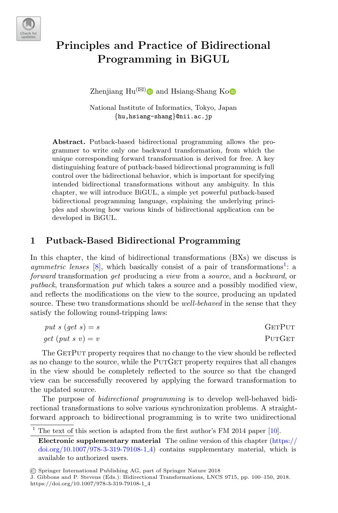

# **Principles and Practice of Bidirectional Programming in BiGUL**

Zhenjiang  $\text{Hu}^{(\boxtimes)}$  $\text{Hu}^{(\boxtimes)}$  $\text{Hu}^{(\boxtimes)}$  and Hsiang-Shang K[o](http://orcid.org/0000-0002-2439-1048) $\textcircled{b}$ 

National Institute of Informatics, Tokyo, Japan *{*hu,hsiang-shang*}*@nii.ac.jp

**Abstract.** Putback-based bidirectional programming allows the programmer to write only one backward transformation, from which the unique corresponding forward transformation is derived for free. A key distinguishing feature of putback-based bidirectional programming is full control over the bidirectional behavior, which is important for specifying intended bidirectional transformations without any ambiguity. In this chapter, we will introduce BiGUL, a simple yet powerful putback-based bidirectional programming language, explaining the underlying principles and showing how various kinds of bidirectional application can be developed in BiGUL.

# <span id="page-0-1"></span>**1 Putback-Based Bidirectional Programming**

In this chapter, the kind of bidirectional transformations (BXs) we discuss is *aymmetric lenses* [\[8](#page-49-0)], which basically consist of a pair of transformations<sup>[1](#page-0-0)</sup>: a *forward* transformation *get* producing a *view* from a *source*, and a *backward*, or *putback*, transformation *put* which takes a source and a possibly modified view, and reflects the modifications on the view to the source, producing an updated source. These two transformations should be *well-behaved* in the sense that they satisfy the following round-tripping laws:

| put $s$ (get $s$ ) = $s$ | <b>GETPUT</b> |
|--------------------------|---------------|
| $get\ (put\ s\ v) = v$   | PUTGET        |

The GETPUT property requires that no change to the view should be reflected as no change to the source, while the PUTGET property requires that all changes in the view should be completely reflected to the source so that the changed view can be successfully recovered by applying the forward transformation to the updated source.

The purpose of *bidirectional programming* is to develop well-behaved bidirectional transformations to solve various synchronization problems. A straightforward approach to bidirectional programming is to write two unidirectional

<sup>&</sup>lt;sup>1</sup> The text of this section is adapted from the first author's FM 2014 paper  $[10]$ .

<span id="page-0-0"></span>**Electronic supplementary material** The online version of this chapter [\(https://](https://doi.org/10.1007/978-3-319-79108-1_4)  $\frac{\text{doi.org}}{10.1007}}$  /978-3-319-79108-1.4) contains supplementary material, which is available to authorized users.

<sup>©</sup> Springer International Publishing AG, part of Springer Nature 2018

J. Gibbons and P. Stevens (Eds.): Bidirectional Transformations, LNCS 9715, pp. 100–150, 2018. https://doi.org/10.1007/978-3-319-79108-1\_4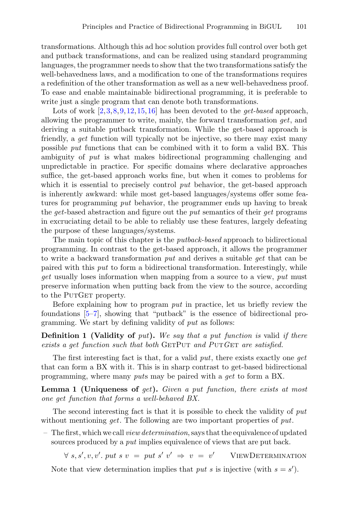transformations. Although this ad hoc solution provides full control over both get and putback transformations, and can be realized using standard programming languages, the programmer needs to show that the two transformations satisfy the well-behavedness laws, and a modification to one of the transformations requires a redefinition of the other transformation as well as a new well-behavedness proof. To ease and enable maintainable bidirectional programming, it is preferable to write just a single program that can denote both transformations.

Lots of work  $[2,3,8,9,12,15,16]$  $[2,3,8,9,12,15,16]$  $[2,3,8,9,12,15,16]$  $[2,3,8,9,12,15,16]$  $[2,3,8,9,12,15,16]$  $[2,3,8,9,12,15,16]$  $[2,3,8,9,12,15,16]$  $[2,3,8,9,12,15,16]$  $[2,3,8,9,12,15,16]$  has been devoted to the *get-based* approach, allowing the programmer to write, mainly, the forward transformation *get*, and deriving a suitable putback transformation. While the get-based approach is friendly, a *get* function will typically not be injective, so there may exist many possible *put* functions that can be combined with it to form a valid BX. This ambiguity of *put* is what makes bidirectional programming challenging and unpredictable in practice. For specific domains where declarative approaches suffice, the get-based approach works fine, but when it comes to problems for which it is essential to precisely control *put* behavior, the get-based approach is inherently awkward: while most get-based languages/systems offer some features for programming *put* behavior, the programmer ends up having to break the *get*-based abstraction and figure out the *put* semantics of their *get* programs in excruciating detail to be able to reliably use these features, largely defeating the purpose of these languages/systems.

The main topic of this chapter is the *putback-based* approach to bidirectional programming. In contrast to the get-based approach, it allows the programmer to write a backward transformation *put* and derives a suitable *get* that can be paired with this *put* to form a bidirectional transformation. Interestingly, while *get* usually loses information when mapping from a source to a view, *put* must preserve information when putting back from the view to the source, according to the PUTGET property.

Before explaining how to program *put* in practice, let us briefly review the foundations [\[5](#page-49-4)[–7](#page-49-5)], showing that "putback" is the essence of bidirectional programming. We start by defining validity of *put* as follows:

**Definition 1 (Validity of** *put***).** *We say that a put function is* valid *if there exists a get function such that both* GETPUT *and PUTGET are satisfied.* 

The first interesting fact is that, for a valid *put*, there exists exactly one *get* that can form a BX with it. This is in sharp contrast to get-based bidirectional programming, where many *put*s may be paired with a *get* to form a BX.

<span id="page-1-0"></span>**Lemma 1 (Uniqueness of** *get***).** *Given a put function, there exists at most one get function that forms a well-behaved BX.*

The second interesting fact is that it is possible to check the validity of *put* without mentioning *get*. The following are two important properties of *put*.

– The first, which we call *view determination*, says that the equivalence of updated sources produced by a *put* implies equivalence of views that are put back.

 $\forall s, s', v, v'. put s v = put s' v' \Rightarrow v = v'$ **VIEWDETERMINATION** 

Note that view determination implies that *put s* is injective (with  $s = s'$ ).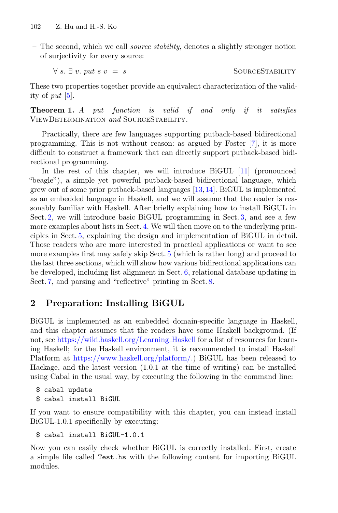– The second, which we call *source stability*, denotes a slightly stronger notion of surjectivity for every source:

$$
\forall s. \exists v. \; put \; s \; v = s
$$
 **Sources**TABLEITY

These two properties together provide an equivalent characterization of the validity of *put* [\[5](#page-49-4)].

**Theorem 1.** *A put function is valid if and only if it satisfies* ViewDetermination *and* SourceStability*.*

Practically, there are few languages supporting putback-based bidirectional programming. This is not without reason: as argued by Foster [\[7\]](#page-49-5), it is more difficult to construct a framework that can directly support putback-based bidirectional programming.

In the rest of this chapter, we will introduce BiGUL [\[11](#page-50-4)] (pronounced "beagle"), a simple yet powerful putback-based bidirectional language, which grew out of some prior putback-based languages [\[13](#page-50-5)[,14](#page-50-6)]. BiGUL is implemented as an embedded language in Haskell, and we will assume that the reader is reasonably familiar with Haskell. After briefly explaining how to install BiGUL in Sect. [2,](#page-2-0) we will introduce basic BiGUL programming in Sect. [3,](#page-3-0) and see a few more examples about lists in Sect. [4.](#page-11-0) We will then move on to the underlying principles in Sect. [5,](#page-13-0) explaining the design and implementation of BiGUL in detail. Those readers who are more interested in practical applications or want to see more examples first may safely skip Sect. [5](#page-13-0) (which is rather long) and proceed to the last three sections, which will show how various bidirectional applications can be developed, including list alignment in Sect. [6,](#page-29-0) relational database updating in Sect. [7,](#page-37-0) and parsing and "reflective" printing in Sect. [8.](#page-41-0)

# <span id="page-2-0"></span>**2 Preparation: Installing BiGUL**

BiGUL is implemented as an embedded domain-specific language in Haskell, and this chapter assumes that the readers have some Haskell background. (If not, see [https://wiki.haskell.org/Learning](https://wiki.haskell.org/Learning_Haskell) Haskell for a list of resources for learning Haskell; for the Haskell environment, it is recommended to install Haskell Platform at [https://www.haskell.org/platform/.](https://www.haskell.org/platform/)) BiGUL has been released to Hackage, and the latest version (1.0.1 at the time of writing) can be installed using Cabal in the usual way, by executing the following in the command line:

\$ cabal update \$ cabal install BiGUL

If you want to ensure compatibility with this chapter, you can instead install BiGUL-1.0.1 specifically by executing:

```
$ cabal install BiGUL-1.0.1
```
Now you can easily check whether BiGUL is correctly installed. First, create a simple file called Test.hs with the following content for importing BiGUL modules.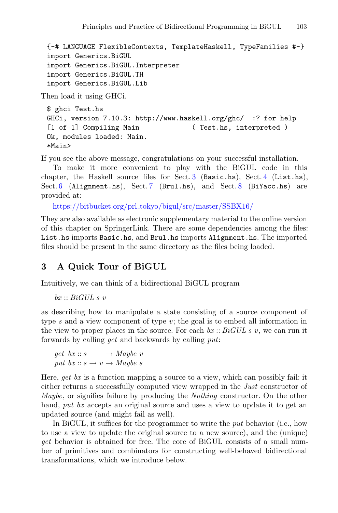```
{-# LANGUAGE FlexibleContexts, TemplateHaskell, TypeFamilies #-}
import Generics.BiGUL
import Generics.BiGUL.Interpreter
import Generics.BiGUL.TH
import Generics.BiGUL.Lib
```
Then load it using GHCi.

```
$ ghci Test.hs
GHCi, version 7.10.3: http://www.haskell.org/ghc/ :? for help
[1 of 1] Compiling Main ( Test.hs, interpreted )
Ok, modules loaded: Main.
*Main>
```
If you see the above message, congratulations on your successful installation.

To make it more convenient to play with the BiGUL code in this chapter, the Haskell source files for Sect. [3](#page-3-0) (Basic.hs), Sect. [4](#page-11-0) (List.hs), Sect. [6](#page-29-0) (Alignment.hs), Sect. [7](#page-37-0) (Brul.hs), and Sect. [8](#page-41-0) (BiYacc.hs) are provided at:

https://bitbucket.org/prl [tokyo/bigul/src/master/SSBX16/](https://bitbucket.org/prl_tokyo/bigul/src/master/SSBX16/)

They are also available as electronic supplementary material to the online version of this chapter on SpringerLink. There are some dependencies among the files: List.hs imports Basic.hs, and Brul.hs imports Alignment.hs. The imported files should be present in the same directory as the files being loaded.

# <span id="page-3-0"></span>**3 A Quick Tour of BiGUL**

Intuitively, we can think of a bidirectional BiGUL program

*bx* :: *BiGUL s v*

as describing how to manipulate a state consisting of a source component of type *s* and a view component of type *v*; the goal is to embed all information in the view to proper places in the source. For each *bx* :: *BiGUL s v*, we can run it forwards by calling *get* and backwards by calling *put*:

```
get bx :: s \longrightarrow Maybe v
put bx :: s \rightarrow v \rightarrow Maybe s
```
Here, *get bx* is a function mapping a source to a view, which can possibly fail: it either returns a successfully computed view wrapped in the *Just* constructor of *Maybe*, or signifies failure by producing the *Nothing* constructor. On the other hand, *put bx* accepts an original source and uses a view to update it to get an updated source (and might fail as well).

In BiGUL, it suffices for the programmer to write the *put* behavior (i.e., how to use a view to update the original source to a new source), and the (unique) *get* behavior is obtained for free. The core of BiGUL consists of a small number of primitives and combinators for constructing well-behaved bidirectional transformations, which we introduce below.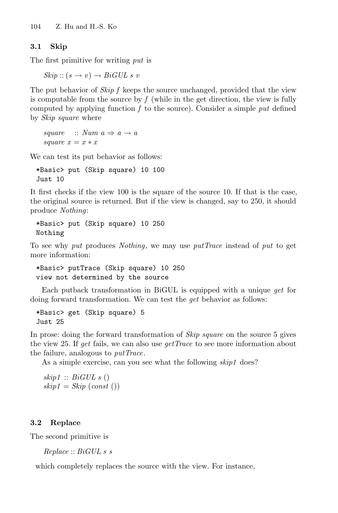### **3.1 Skip**

The first primitive for writing *put* is

 $\mathit{skip}$  ::  $(s \rightarrow v) \rightarrow \mathit{BiGUL}$  s v

The put behavior of *Skip f* keeps the source unchanged, provided that the view is computable from the source by *f* (while in the get direction, the view is fully computed by applying function *f* to the source). Consider a simple *put* defined by *Skip square* where

*square*  $\therefore$  *Num a*  $\Rightarrow$  *a*  $\rightarrow$  *a square*  $x = x * x$ 

We can test its put behavior as follows:

\*Basic> put (Skip square) 10 100 Just 10

It first checks if the view 100 is the square of the source 10. If that is the case, the original source is returned. But if the view is changed, say to 250, it should produce *Nothing*:

\*Basic> put (Skip square) 10 250 Nothing

To see why *put* produces *Nothing*, we may use *putTrace* instead of *put* to get more information:

\*Basic> putTrace (Skip square) 10 250 view not determined by the source

Each putback transformation in BiGUL is equipped with a unique *get* for doing forward transformation. We can test the *get* behavior as follows:

\*Basic> get (Skip square) 5 Just 25

In prose: doing the forward transformation of *Skip square* on the source 5 gives the view 25. If *get* fails, we can also use *getTrace* to see more information about the failure, analogous to *putTrace*.

As a simple exercise, can you see what the following *skip1* does?

*skip1* :: *BiGUL s* ()  $skip1 = Skip (const ()$ 

#### **3.2 Replace**

The second primitive is

```
Replace :: BiGUL s s
```
which completely replaces the source with the view. For instance,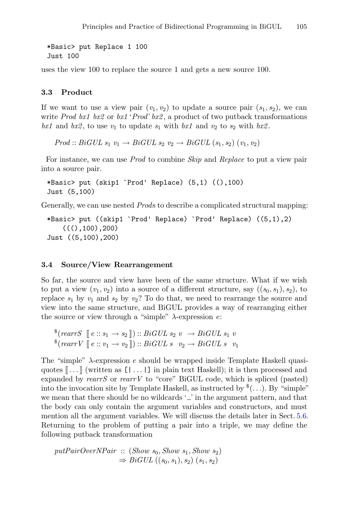\*Basic> put Replace 1 100 Just 100

uses the view 100 to replace the source 1 and gets a new source 100.

#### **3.3 Product**

If we want to use a view pair  $(v_1, v_2)$  to update a source pair  $(s_1, s_2)$ , we can write *Prod bx1 bx2* or *bx1* '*Prod*' *bx2* , a product of two putback transformations *bx1* and *bx2*, to use  $v_1$  to update  $s_1$  with  $bx1$  and  $v_2$  to  $s_2$  with  $bx2$ .

*Prod* ::  $BiGUL s_1 v_1 \rightarrow BiGUL s_2 v_2 \rightarrow BiGUL (s_1, s_2) (v_1, v_2)$ 

For instance, we can use *Prod* to combine *Skip* and *Replace* to put a view pair into a source pair.

```
*Basic> put (skip1 `Prod' Replace) (5,1) ((),100)
Just (5,100)
```
Generally, we can use nested *Prod*s to describe a complicated structural mapping:

\*Basic> put ((skip1 `Prod' Replace) `Prod' Replace) ((5,1),2)  $((((), 100), 200))$ Just ((5,100),200)

#### **3.4 Source/View Rearrangement**

So far, the source and view have been of the same structure. What if we wish to put a view  $(v_1, v_2)$  into a source of a different structure, say  $((s_0, s_1), s_2)$ , to replace  $s_1$  by  $v_1$  and  $s_2$  by  $v_2$ ? To do that, we need to rearrange the source and view into the same structure, and BiGUL provides a way of rearranging either the source or view through a "simple" λ-expression *e*:

 $*(\text{rearrS} \parallel e :: s_1 \rightarrow s_2 \parallel) :: \text{BiGUL} \ s_2 \ v \rightarrow \text{BiGUL} \ s_1 \ v$  $*(\text{rearv} \mid e :: v_1 \rightarrow v_2 \mid) :: BiGUL \ s \ v_2 \rightarrow BiGUL \ s \ v_1$ 

The "simple"  $\lambda$ -expression e should be wrapped inside Template Haskell quasiquotes  $[\![...]\!]$  (written as  $[\![...]\!]$  in plain text Haskell); it is then processed and expanded by *rearrS* or *rearrV* to "core" BiGUL code, which is spliced (pasted) into the invocation site by Template Haskell, as instructed by  $\mathcal{F}(\ldots)$ . By "simple" we mean that there should be no wildcards  $\prime \_$  in the argument pattern, and that the body can only contain the argument variables and constructors, and must mention all the argument variables. We will discuss the details later in Sect. [5.6.](#page-23-0) Returning to the problem of putting a pair into a triple, we may define the following putback transformation

$$
putPairOverNPair :: (Show s_0, Show s_1, Show s_2)
$$
  

$$
\Rightarrow BiGUL ((s_0, s_1), s_2) (s_1, s_2)
$$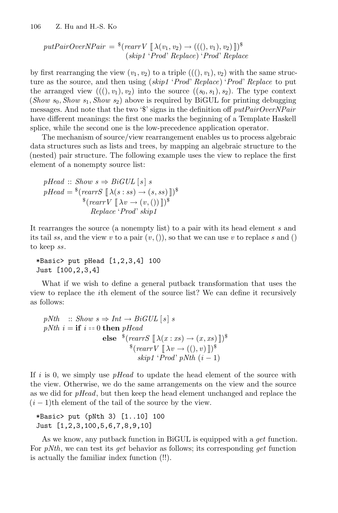$$
putPairOver NPair = {}^{\$}(rear_{IV} [\lambda(v_1, v_2) \rightarrow (((0, v_1), v_2) ])^{\$}
$$
  

$$
(skip 1 'Prod' Replace 'Prod' Replace
$$

by first rearranging the view  $(v_1, v_2)$  to a triple  $((\cdot), v_1), v_2)$  with the same structure as the source, and then using (*skip1* '*Prod*' *Replace*) '*Prod*' *Replace* to put the arranged view  $(((0, v_1), v_2)$  into the source  $((s_0, s_1), s_2)$ . The type context (*Show s*<sub>0</sub>, *Show s*<sub>1</sub>, *Show s*<sub>2</sub>) above is required by BiGUL for printing debugging messages. And note that the two '\$' signs in the definition off *putPairOverNPair* have different meanings: the first one marks the beginning of a Template Haskell splice, while the second one is the low-precedence application operator.

The mechanism of source/view rearrangement enables us to process algebraic data structures such as lists and trees, by mapping an algebraic structure to the (nested) pair structure. The following example uses the view to replace the first element of a nonempty source list:

pHead :: Show 
$$
s \Rightarrow BiGUL [s]
$$
 s  
\n $pHead = {s(rearrS [\lambda(s:ss) \rightarrow (s, ss) ]} {s$   
\n
$$
{s(rearrV [\lambda v \rightarrow (v,()) ]} {s}
$$
\n $Replace 'Prod' skip1$ 

It rearranges the source (a nonempty list) to a pair with its head element *s* and its tail *ss*, and the view *v* to a pair  $(v,())$ , so that we can use *v* to replace *s* and () to keep *ss*.

```
*Basic> put pHead [1,2,3,4] 100
Just [100,2,3,4]
```
What if we wish to define a general putback transformation that uses the view to replace the *i*th element of the source list? We can define it recursively as follows:

$$
pNth :: Show s \Rightarrow Int \rightarrow BiGUL [s] s
$$
  
\n
$$
pNth i = \textbf{if } i = 0 \text{ then } pHead
$$
  
\n
$$
\text{else } {^{s}(rearr S \text{ } [\lambda(x : xs) \rightarrow (x, xs) ])} {^{s}(rearr V \text{ } [\lambda v \rightarrow ((), v) ])} {^{s}} \text{skip 1.5cm} {^{s}(rear r \text{ } V \text{ } [\lambda v \rightarrow ((), v) ])} {^{s}}
$$

If *i* is 0, we simply use *pHead* to update the head element of the source with the view. Otherwise, we do the same arrangements on the view and the source as we did for *pHead*, but then keep the head element unchanged and replace the  $(i-1)$ th element of the tail of the source by the view.

\*Basic> put (pNth 3) [1..10] 100 Just [1,2,3,100,5,6,7,8,9,10]

As we know, any putback function in BiGUL is equipped with a *get* function. For *pNth*, we can test its *get* behavior as follows; its corresponding *get* function is actually the familiar index function (!!).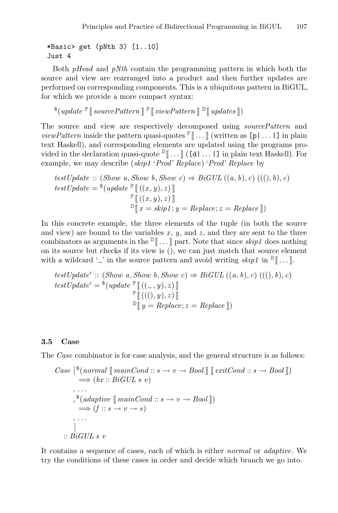```
*Basic> get (pNth 3) [1..10]
Just 4
```
Both *pHead* and *pNth* contain the programming pattern in which both the source and view are rearranged into a product and then further updates are performed on corresponding components. This is a ubiquitous pattern in BiGUL, for which we provide a more compact syntax:

```
\{ \text{``(update } \mathbb{P} \mid \text{sourcePattern} \mid \mathbb{P} \mid \text{viewPattern} \mid \mathbb{P} \mid \text{updates } \mathbb{I} \})
```
The source and view are respectively decomposed using *sourcePattern* and *viewPattern* inside the pattern quasi-quotes  $^{\mathbb{P}}$  [... ] (written as [p] ... |] in plain text Haskell), and corresponding elements are updated using the programs provided in the declaration quasi-quote  $\mathbb{D}[\ldots]$  ([d] ... |] in plain text Haskell). For example, we may describe (*skip1* '*Prod*' *Replace*) '*Prod*' *Replace* by

testUpdate :: (Show a, Show b, Show c) 
$$
\Rightarrow
$$
 BiGUL ((a, b), c) (((b), c)  
testUpdate =  $\{update \mathbb{P}[(x, y), z)\}$   
 $\mathbb{P}[(x, y), z)]$   
 $\mathbb{P}[x = skip1; y = Replace; z = Replace \text{]}$ )

In this concrete example, the three elements of the tuple (in both the source and view) are bound to the variables  $x, y$ , and  $z$ , and they are sent to the three combinators as arguments in the  $\mathbb{P}[\dots]$  part. Note that since *skip1* does nothing on its source but checks if its view is (), we can just match that source element with a wildcard ' $\Box$ ' in the source pattern and avoid writing  $skip1 \text{ } i$  in  $\mathbb{D}[\ldots]$ .

testUpdate' :: (Show a, Show b, Show c) 
$$
\Rightarrow
$$
 BiGUL ((a, b), c) ((((), b), c)  
testUpdate' =  $\{update^{\mathbb{P}}[((\cdot, y), z)]$   
 $\mathbb{P}[((\cdot, y), z)]$   
 $\mathbb{P}[y = Replace; z = Replace[]$ )

#### <span id="page-7-0"></span>**3.5 Case**

The *Case* combinator is for case analysis, and the general structure is as follows:

Case 
$$
[\S
$$
 (normal  $[\text{mainCond} :: s \rightarrow v \rightarrow Bool \text{]} \text{ }[\text{exitCond} :: s \rightarrow Bool \text{]}])$   
\n $\implies (bx :: BiGUL s v)$   
\n,...  
\n $\S$  (adaptive  $[\text{mainCond} :: s \rightarrow v \rightarrow Bool \text{]}])$   
\n $\implies (f :: s \rightarrow v \rightarrow s)$   
\n,...  
\n $\Bigg)$   
\n...  
\n $\text{BiGUL s } v$ 

It contains a sequence of cases, each of which is either *normal* or *adaptive*. We try the conditions of these cases in order and decide which branch we go into.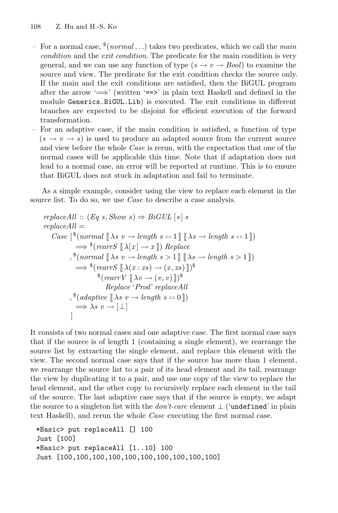- For a normal case, \$(*normal* ...) takes two predicates, which we call the *main condition* and the *exit condition*. The predicate for the main condition is very general, and we can use any function of type  $(s \rightarrow v \rightarrow Bool)$  to examine the source and view. The predicate for the exit condition checks the source only. If the main and the exit conditions are satisfied, then the BiGUL program after the arrow  $\iff$  (written  $\iff$ ) in plain text Haskell and defined in the module Generics.BiGUL.Lib) is executed. The exit conditions in different branches are expected to be disjoint for efficient execution of the forward transformation.
- For an adaptive case, if the main condition is satisfied, a function of type  $(s \rightarrow v \rightarrow s)$  is used to produce an adapted source from the current source and view before the whole *Case* is rerun, with the expectation that one of the normal cases will be applicable this time. Note that if adaptation does not lead to a normal case, an error will be reported at runtime. This is to ensure that BiGUL does not stuck in adaptation and fail to terminate.

As a simple example, consider using the view to replace each element in the source list. To do so, we use *Case* to describe a case analysis.

$$
replaceAll :: (Eq s, Show s) \Rightarrow BiGUL[s] s
$$
\n
$$
replaceAll =
$$
\n
$$
Case \n \begin{bmatrix}\n 8 \text{ (normal } \mathbb{I} \land s \ v \to \text{length } s = 1 \mathbb{I} \mathbb{I} \land s \to \text{length } s = 1 \mathbb{I}\n \end{bmatrix}
$$
\n
$$
\Rightarrow \n \begin{bmatrix}\n 8 \text{ (normal } \mathbb{I} \land s \ v \to \text{length } s > 1 \mathbb{I} \mathbb{I} \land s \to \text{length } s > 1 \mathbb{I}\n \end{bmatrix}
$$
\n
$$
\Rightarrow \n \begin{bmatrix}\n 8 \text{ (normal } \mathbb{I} \land s \ v \to \text{length } s > 1 \mathbb{I} \mathbb{I} \land s \to \text{length } s > 1 \mathbb{I}\n \end{bmatrix}
$$
\n
$$
\Rightarrow \n \begin{bmatrix}\n 8 \text{ (rarr } \mathbb{I} \land x : xs) \to (x, xs) \mathbb{I}\n \end{bmatrix}\n \begin{bmatrix}\n 8 \text{ (rarr } \mathbb{I} \land v \to (v, v) \mathbb{I}\n \end{bmatrix}\n \begin{bmatrix}\n 8 \text{ (ladrite } \mathbb{I} \land s \ v \to \text{length } s = 0 \mathbb{I}\n \end{bmatrix}
$$
\n
$$
\Rightarrow \text{As } v \to \mathbb{I} \perp \mathbb{I}
$$

It consists of two normal cases and one adaptive case. The first normal case says that if the source is of length 1 (containing a single element), we rearrange the source list by extracting the single element, and replace this element with the view. The second normal case says that if the source has more than 1 element, we rearrange the source list to a pair of its head element and its tail, rearrange the view by duplicating it to a pair, and use one copy of the view to replace the head element, and the other copy to recursively replace each element in the tail of the source. The last adaptive case says that if the source is empty, we adapt the source to a singleton list with the *don't-care* element ⊥ ('undefined' in plain text Haskell), and rerun the whole *Case* executing the first normal case.

```
*Basic> put replaceAll [] 100
Just [100]
*Basic> put replaceAll [1..10] 100
Just [100,100,100,100,100,100,100,100,100,100]
```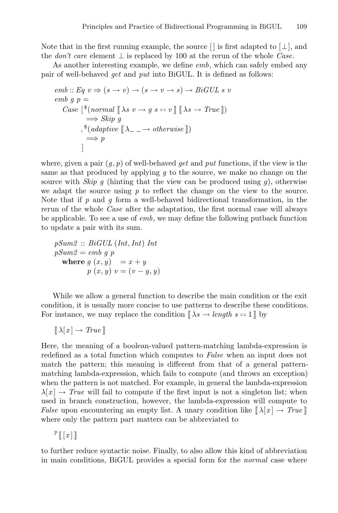Note that in the first running example, the source  $[]$  is first adapted to  $[\bot]$ , and the *don't care* element  $\perp$  is replaced by 100 at the rerun of the whole *Case*.

As another interesting example, we define *emb*, which can safely embed any pair of well-behaved *get* and *put* into BiGUL. It is defined as follows:

$$
emb :: Eq \, v \Rightarrow (s \to v) \to (s \to v \to s) \to BiGUL \, s \, v
$$
\n
$$
emb \, g \, p =
$$
\n
$$
Case \, \left[ \, \frac{\$(normal \, [\, \Lambda \, s \, v \to g \, s = v \, ] \, [\, \Lambda \, s \to True \, ] \, ]}{\Longrightarrow} \right]
$$
\n
$$
\Rightarrow \quad \frac{\$(adaptive \, [\, \Lambda \, ] \, \to \, otherwise \, ])}{\Longrightarrow} p
$$

where, given a pair (*g*, *p*) of well-behaved *get* and *put* functions, if the view is the same as that produced by applying *g* to the source, we make no change on the source with *Skip q* (hinting that the view can be produced using q), otherwise we adapt the source using *p* to reflect the change on the view to the source. Note that if *p* and *g* form a well-behaved bidirectional transformation, in the rerun of the whole *Case* after the adaptation, the first normal case will always be applicable. To see a use of *emb*, we may define the following putback function to update a pair with its sum.

$$
pSum2 :: BiGUL (Int, Int) Int
$$
  

$$
pSum2 = emb g p
$$
  
**where**  $g(x, y) = x + y$   
 $p(x, y) v = (v - y, y)$ 

While we allow a general function to describe the main condition or the exit condition, it is usually more concise to use patterns to describe these conditions. For instance, we may replace the condition  $\llbracket \lambda s \rightarrow \text{length } s = 1 \rrbracket$  by

 $[\![ \lambda[x ]\!] \rightarrow True \!]$ 

Here, the meaning of a boolean-valued pattern-matching lambda-expression is redefined as a total function which computes to *False* when an input does not match the pattern; this meaning is different from that of a general patternmatching lambda-expression, which fails to compute (and throws an exception) when the pattern is not matched. For example, in general the lambda-expression  $\lambda[x] \rightarrow True$  will fail to compute if the first input is not a singleton list; when used in branch construction, however, the lambda-expression will compute to *False* upon encountering an empty list. A unary condition like  $\lceil \lambda | x \rceil \rightarrow True \rceil$ where only the pattern part matters can be abbreviated to

 $\mathbb{P}$   $\left[ x \right]$ 

to further reduce syntactic noise. Finally, to also allow this kind of abbreviation in main conditions, BiGUL provides a special form for the *normal* case where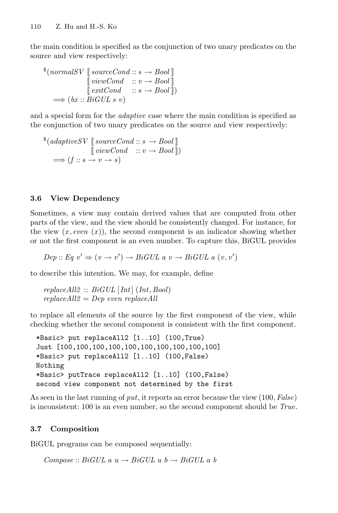the main condition is specified as the conjunction of two unary predicates on the source and view respectively:

$$
*(normalSV \text{ } \text{\small{[sourceCond}}:: s \rightarrow Bool \text{ } \text{]}\text{ } \text{ } \text{viewCond} :: v \rightarrow Bool \text{ } \text{]}\text{ } \text{ } \text{exitCond} :: s \rightarrow Bool \text{ } \text{]}\implies (bx :: BiGUL s v)
$$

and a special form for the *adaptive* case where the main condition is specified as the conjunction of two unary predicates on the source and view respectively:

$$
*(adaptiveSV \text{ [ sourceCond :: s \rightarrow Bool \text{ ]}} \\ \text{ [ viewCond \text{ :: } v \rightarrow Bool \text{ ]}}) \\ \implies (f :: s \rightarrow v \rightarrow s)
$$

# **3.6 View Dependency**

Sometimes, a view may contain derived values that are computed from other parts of the view, and the view should be consistently changed. For instance, for the view  $(x, even (x))$ , the second component is an indicator showing whether or not the first component is an even number. To capture this, BiGUL provides

 $Dep :: Eq \ v' \Rightarrow (v \rightarrow v') \rightarrow BiGUL \ a \ v \rightarrow BiGUL \ a \ (v, v')$ 

to describe this intention. We may, for example, define

*replaceAll2* :: *BiGUL* [*Int* ] (*Int*, *Bool*) *replaceAll2* = *Dep even replaceAll*

to replace all elements of the source by the first component of the view, while checking whether the second component is consistent with the first component.

```
*Basic> put replaceAll2 [1..10] (100,True)
Just [100,100,100,100,100,100,100,100,100,100]
*Basic> put replaceAll2 [1..10] (100,False)
Nothing
*Basic> putTrace replaceAll2 [1..10] (100,False)
second view component not determined by the first
```
As seen in the last running of *put*, it reports an error because the view (100, *False*) is inconsistent: 100 is an even number, so the second component should be *True*.

# **3.7 Composition**

BiGUL programs can be composed sequentially:

```
Compare :: BiGUL a u \rightarrow BiGUL u b \rightarrow BiGUL a b
```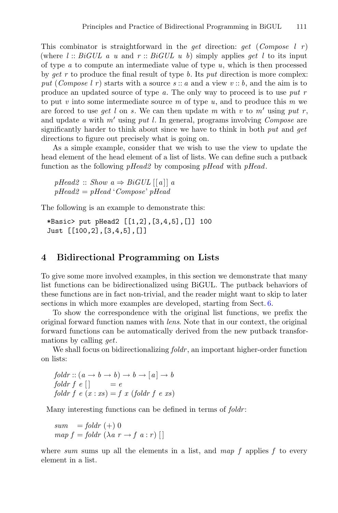This combinator is straightforward in the *get* direction: *get* (*Compose l r* ) (where  $l$ :: *BiGUL a u* and  $r$ :: *BiGUL u b*) simply applies *get l* to its input of type *a* to compute an intermediate value of type *u*, which is then processed by *get r* to produce the final result of type *b*. Its *put* direction is more complex: put (*Compose l r*) starts with a source  $s:: a$  and a view  $v:: b$ , and the aim is to produce an updated source of type *a*. The only way to proceed is to use *put r* to put *v* into some intermediate source *m* of type *u*, and to produce this *m* we are forced to use *get l* on *s*. We can then update *m* with *v* to *m*- using *put r* , and update *a* with *m'* using *put l*. In general, programs involving *Compose* are significantly harder to think about since we have to think in both *put* and *get* directions to figure out precisely what is going on.

As a simple example, consider that we wish to use the view to update the head element of the head element of a list of lists. We can define such a putback function as the following *pHead2* by composing *pHead* with *pHead*.

*pHead2* :: *Show*  $a \Rightarrow BiGUL$  [[a]]  $a$ *pHead2* = *pHead* '*Compose*' *pHead*

The following is an example to demonstrate this:

\*Basic> put pHead2 [[1,2],[3,4,5],[]] 100 Just [[100,2],[3,4,5],[]]

### <span id="page-11-0"></span>**4 Bidirectional Programming on Lists**

To give some more involved examples, in this section we demonstrate that many list functions can be bidirectionalized using BiGUL. The putback behaviors of these functions are in fact non-trivial, and the reader might want to skip to later sections in which more examples are developed, starting from Sect. [6.](#page-29-0)

To show the correspondence with the original list functions, we prefix the original forward function names with *lens*. Note that in our context, the original forward functions can be automatically derived from the new putback transformations by calling *get*.

We shall focus on bidirectionalizing *foldr* , an important higher-order function on lists:

```
foldr :: (a \rightarrow b \rightarrow b) \rightarrow b \rightarrow [a] \rightarrow bfoldr f e [] = efoldr f \cdot e(x : xs) = f(x) foldr f \cdot e(xs)
```
Many interesting functions can be defined in terms of *foldr* :

```
sum = foldr (+) 0map f = foldr (\lambda a \ r \rightarrow f \ a : r) []
```
where *sum* sums up all the elements in a list, and *map f* applies *f* to every element in a list.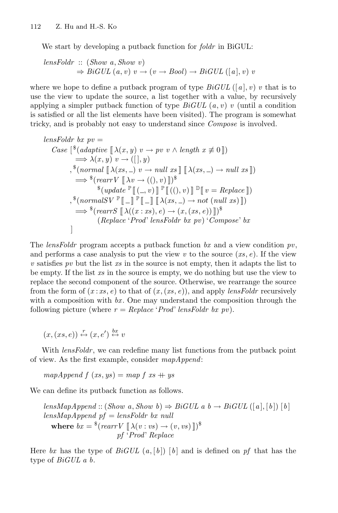We start by developing a putback function for *foldr* in BiGUL:

$$
lensFoldr :: (Show\ a, Show\ v)
$$
  
\n
$$
\Rightarrow BiGUL(a, v) v \rightarrow (v \rightarrow Bool) \rightarrow BiGUL([a], v) v
$$

where we hope to define a putback program of type  $BiGUL$  ([a], v) v that is to use the view to update the source, a list together with a value, by recursively applying a simpler putback function of type *BiGUL* (*a*, *v*) *v* (until a condition is satisfied or all the list elements have been visited). The program is somewhat tricky, and is probably not easy to understand since *Compose* is involved.

$$
lensFoldr \text{ } bx \text{ } pv =
$$
\n
$$
Case \text{ } [\text{ }^{\$}(adaptive \text{ } [\text{ } \lambda(x, y) \text{ } v \rightarrow pv \text{ } v \land length \text{ } x \neq 0])
$$
\n
$$
\implies \lambda(x, y) \text{ } v \rightarrow ([], y)
$$
\n
$$
\text{ } ^{\$}(normal \text{ } [\text{ } \lambda(xs, \_) \text{ } v \rightarrow null \text{ } xs \text{ } ] \text{ } [\text{ } \lambda(xs, \_) \rightarrow null \text{ } xs \text{ } ])
$$
\n
$$
\implies \text{ } ^{\$}(rearV \text{ } [\text{ } \lambda v \rightarrow ((), v) \text{ } ])
$$
\n
$$
\text{ } ^{\$}(update \text{ } ^{\mathbb{P}}[[\text{ }], v) \text{ } ] \text{ } ^{\mathbb{P}}[[((), v) \text{ } ] \text{ } ^{\mathbb{P}}[[v = Replace \text{ } ])
$$
\n
$$
\text{ } ^{\$}(normalSV \text{ } ^{\mathbb{P}}[-] \text{ } ^{\mathbb{P}}[-] \text{ } [\text{ } \lambda(xs, \_) \rightarrow not \text{ } (null \text{ } xs) \text{ } ])
$$
\n
$$
\implies \text{ } ^{\$}(rearrS \text{ } [\text{ } \lambda((x:xs), e) \rightarrow (x, (xs, e)) \text{ } ])
$$
\n
$$
\text{ } (Replace \text{ } 'Prod' \text{ } lensFoldr \text{ } bx \text{ } pv) \text{ } 'Compose' \text{ } bx
$$

The *lensFoldr* program accepts a putback function *bx* and a view condition *pv*, and performs a case analysis to put the view  $v$  to the source  $(xs, e)$ . If the view *v* satisfies *pv* but the list *xs* in the source is not empty, then it adapts the list to be empty. If the list *xs* in the source is empty, we do nothing but use the view to replace the second component of the source. Otherwise, we rearrange the source from the form of  $(x; xs, e)$  to that of  $(x, (xs, e))$ , and apply *lensFoldr* recursively with a composition with *bx* . One may understand the composition through the following picture (where  $r = Replace'$  *Prod' lensFoldr bx pv*).

$$
(x,(xs,e))\stackrel{r}{\hookrightarrow}(x,e')\stackrel{bx}{\leftrightarrow}v
$$

With *lensFoldr*, we can redefine many list functions from the putback point of view. As the first example, consider *mapAppend*:

$$
mapAppend\ f\ (xs, ys) = map\ f\ xs + ys
$$

We can define its putback function as follows.

 $lensMapAppend::(Show\ a, Show\ b)\Rightarrow BiGUL\ a\ b\rightarrow BiGUL\ ([a],[b])\ [b]$ *lensMapAppend pf* = *lensFoldr bx null* **where**  $bx =$ <sup>§</sup> $(rearV \upharpoonright \lambda (v : vs) \rightarrow (v, vs) \upharpoonright)$ <sup>§</sup> *pf* '*Prod*' *Replace*

Here *bx* has the type of *BiGUL*  $(a, [b]) [b]$  and is defined on *pf* that has the type of *BiGUL a b*.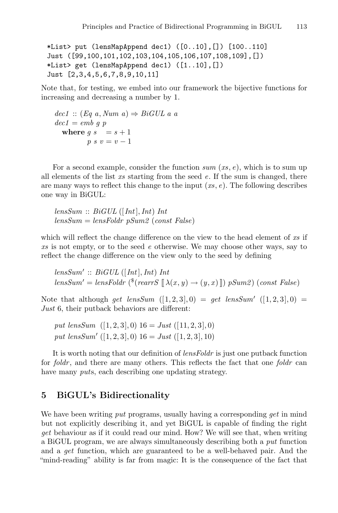```
*List> put (lensMapAppend dec1) ([0..10],[]) [100..110]
Just ([99,100,101,102,103,104,105,106,107,108,109],[])
*List> get (lensMapAppend dec1) ([1..10],[])
Just [2,3,4,5,6,7,8,9,10,11]
```
Note that, for testing, we embed into our framework the bijective functions for increasing and decreasing a number by 1.

```
dec1 :: (Eq \ a \ Num \ a) \Rightarrow BiGUL \ a \ adec1 = emb q pwhere q s = s + 1psv = v-1
```
For a second example, consider the function *sum* (*xs*, *e*), which is to sum up all elements of the list *xs* starting from the seed *e*. If the sum is changed, there are many ways to reflect this change to the input (*xs*, *e*). The following describes one way in BiGUL:

*lensSum* :: *BiGUL* ([*Int* ],*Int*) *Int lensSum* = *lensFoldr pSum2* (*const False*)

which will reflect the change difference on the view to the head element of *xs* if *xs* is not empty, or to the seed *e* otherwise. We may choose other ways, say to reflect the change difference on the view only to the seed by defining

```
lensSum' :: BiGUL ([Int], Int) IntlensSum' = lensFoldr (*(rearrS \upharpoonright \lambda(x, y) \rightarrow (y, x) \upharpoonright) pSum2) (const False)
```
Note that although *get lensSum*  $([1, 2, 3], 0) = get$  lensSum'  $([1, 2, 3], 0) =$ *Just* 6, their putback behaviors are different:

*put lensSum* ([1, 2, 3], 0) 16 = *Just* ([11, 2, 3], 0) *put lensSum'*  $([1, 2, 3], 0)$  16 = *Just*  $([1, 2, 3], 10)$ 

It is worth noting that our definition of *lensFoldr* is just one putback function for *foldr* , and there are many others. This reflects the fact that one *foldr* can have many *put*s, each describing one updating strategy.

# <span id="page-13-0"></span>**5 BiGUL's Bidirectionality**

We have been writing *put* programs, usually having a corresponding *get* in mind but not explicitly describing it, and yet BiGUL is capable of finding the right *get* behaviour as if it could read our mind. How? We will see that, when writing a BiGUL program, we are always simultaneously describing both a *put* function and a *get* function, which are guaranteed to be a well-behaved pair. And the "mind-reading" ability is far from magic: It is the consequence of the fact that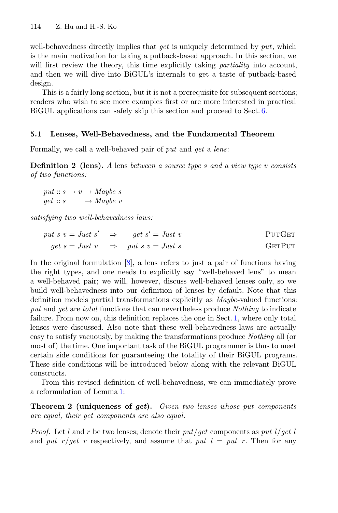well-behavedness directly implies that *get* is uniquely determined by *put*, which is the main motivation for taking a putback-based approach. In this section, we will first review the theory, this time explicitly taking *partiality* into account, and then we will dive into BiGUL's internals to get a taste of putback-based design.

This is a fairly long section, but it is not a prerequisite for subsequent sections; readers who wish to see more examples first or are more interested in practical BiGUL applications can safely skip this section and proceed to Sect. [6.](#page-29-0)

# **5.1 Lenses, Well-Behavedness, and the Fundamental Theorem**

Formally, we call a well-behaved pair of *put* and *get* a *lens*:

**Definition 2 (lens).** *A* lens *between a source type* s *and a view type* v *consists of two functions:*

 $put :: s \rightarrow v \rightarrow Maybe s$  $get :: s \longrightarrow Maybe \ v$ 

*satisfying two well-behavedness laws:*

| put s v = Just s' $\Rightarrow$ get s' = Just v |                                                          | PUTGET        |
|-------------------------------------------------|----------------------------------------------------------|---------------|
|                                                 | $\det s = Just \ v \Rightarrow \ put \ s \ v = Just \ s$ | <b>GETPUT</b> |

In the original formulation  $[8]$ , a lens refers to just a pair of functions having the right types, and one needs to explicitly say "well-behaved lens" to mean a well-behaved pair; we will, however, discuss well-behaved lenses only, so we build well-behavedness into our definition of lenses by default. Note that this definition models partial transformations explicitly as *Maybe*-valued functions: *put* and *get* are *total* functions that can nevertheless produce *Nothing* to indicate failure. From now on, this definition replaces the one in Sect. [1,](#page-0-1) where only total lenses were discussed. Also note that these well-behavedness laws are actually easy to satisfy vacuously, by making the transformations produce *Nothing* all (or most of) the time. One important task of the BiGUL programmer is thus to meet certain side conditions for guaranteeing the totality of their BiGUL programs. These side conditions will be introduced below along with the relevant BiGUL constructs.

<span id="page-14-0"></span>From this revised definition of well-behavedness, we can immediately prove a reformulation of Lemma [1:](#page-1-0)

**Theorem 2 (uniqueness of** *get***).** *Given two lenses whose put components are equal, their get components are also equal.*

*Proof.* Let l and r be two lenses; denote their *put*/*get* components as *put l*/*get l* and *put r*/*get r* respectively, and assume that *put l* = *put r*. Then for any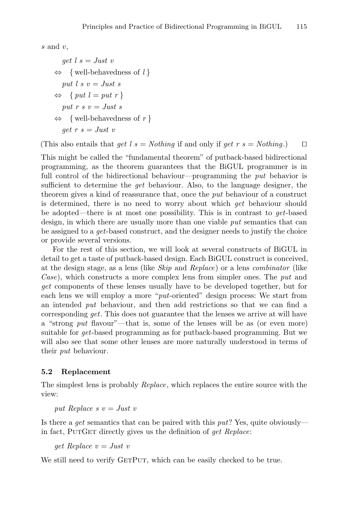```
s and v,
```

```
get l s = Just v
⇔ { well-behavedness of l }
  put l s v = Just s
\Leftrightarrow { put l = put r }
  put r s v = Just s
⇔ { well-behavedness of r }
  get r s = Just v
```
(This also entails that *get l s = Nothing* if and only if *get r s = Nothing*.)  $\square$ 

This might be called the "fundamental theorem" of putback-based bidirectional programming, as the theorem guarantees that the BiGUL programmer is in full control of the bidirectional behaviour—programming the *put* behavior is sufficient to determine the *get* behaviour. Also, to the language designer, the theorem gives a kind of reassurance that, once the *put* behaviour of a construct is determined, there is no need to worry about which *get* behaviour should be adopted—there is at most one possibility. This is in contrast to *get*-based design, in which there are usually more than one viable *put* semantics that can be assigned to a *get*-based construct, and the designer needs to justify the choice or provide several versions.

For the rest of this section, we will look at several constructs of BiGUL in detail to get a taste of putback-based design. Each BiGUL construct is conceived, at the design stage, as a lens (like *Skip* and *Replace*) or a lens *combinator* (like *Case*), which constructs a more complex lens from simpler ones. The *put* and *get* components of these lenses usually have to be developed together, but for each lens we will employ a more "*put*-oriented" design process: We start from an intended *put* behaviour, and then add restrictions so that we can find a corresponding *get*. This does not guarantee that the lenses we arrive at will have a "strong *put* flavour"—that is, some of the lenses will be as (or even more) suitable for *get*-based programming as for putback-based programming. But we will also see that some other lenses are more naturally understood in terms of their *put* behaviour.

#### **5.2 Replacement**

The simplest lens is probably *Replace*, which replaces the entire source with the view:

```
put Replace s v = Just v
```
Is there a *get* semantics that can be paired with this *put*? Yes, quite obviously in fact, PutGet directly gives us the definition of *get Replace*:

*get Replace v* = *Just v*

We still need to verify GETPUT, which can be easily checked to be true.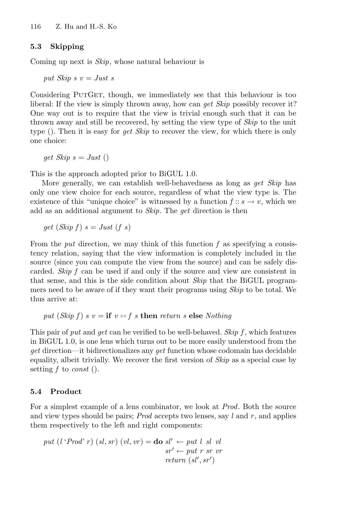### **5.3 Skipping**

Coming up next is *Skip*, whose natural behaviour is

*put Skip s v* = *Just s*

Considering PUTGET, though, we immediately see that this behaviour is too liberal: If the view is simply thrown away, how can *get Skip* possibly recover it? One way out is to require that the view is trivial enough such that it can be thrown away and still be recovered, by setting the view type of *Skip* to the unit type (). Then it is easy for *get Skip* to recover the view, for which there is only one choice:

 $get\; Skip\; s = Just\; ()$ 

This is the approach adopted prior to BiGUL 1.0.

More generally, we can establish well-behavedness as long as *get Skip* has only one view choice for each source, regardless of what the view type is. The existence of this "unique choice" is witnessed by a function  $f$  ::  $s \rightarrow v$ , which we add as an additional argument to *Skip*. The *get* direction is then

 $get(Skip f) s = Just (f s)$ 

From the *put* direction, we may think of this function *f* as specifying a consistency relation, saying that the view information is completely included in the source (since you can compute the view from the source) and can be safely discarded. *Skip f* can be used if and only if the source and view are consistent in that sense, and this is the side condition about *Skip* that the BiGUL programmers need to be aware of if they want their programs using *Skip* to be total. We thus arrive at:

 $put (Skip f) s v = if v = f s then return s else Nothing$ 

This pair of *put* and *get* can be verified to be well-behaved. *Skip f* , which features in BiGUL 1.0, is one lens which turns out to be more easily understood from the *get* direction—it bidirectionalizes any *get* function whose codomain has decidable equality, albeit trivially. We recover the first version of *Skip* as a special case by setting *f* to *const* ().

#### **5.4 Product**

For a simplest example of a lens combinator, we look at *Prod*. Both the source and view types should be pairs; *Prod* accepts two lenses, say *l* and *r* , and applies them respectively to the left and right components:

$$
put (l'Proof' r) (sl, sr) (vl, vr) = do sl' \leftarrow put l sl vl
$$
  

$$
sr' \leftarrow put r sr vr
$$
  
return (sl', sr')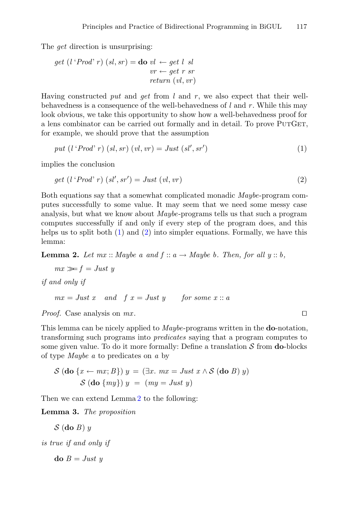The *get* direction is unsurprising:

get 
$$
(l \, 'Prod' \, r)
$$
  $(sl, sr) = \textbf{do} \, vl \leftarrow get \, l \, sl$   
\n $vr \leftarrow get \, r \, sr$   
\n $return \, (vl, vr)$ 

Having constructed *put* and *get* from *l* and *r*, we also expect that their wellbehavedness is a consequence of the well-behavedness of *l* and *r* . While this may look obvious, we take this opportunity to show how a well-behavedness proof for a lens combinator can be carried out formally and in detail. To prove PUTGET, for example, we should prove that the assumption

<span id="page-17-1"></span><span id="page-17-0"></span>
$$
put (l'Proof' r) (sl, sr) (vl, vr) = Just (sl', sr')
$$
\n
$$
(1)
$$

implies the conclusion

$$
get (l'Proof' r) (sl', sr') = Just (vl, vr)
$$
\n
$$
(2)
$$

Both equations say that a somewhat complicated monadic *Maybe*-program computes successfully to some value. It may seem that we need some messy case analysis, but what we know about *Maybe*-programs tells us that such a program computes successfully if and only if every step of the program does, and this helps us to split both [\(1\)](#page-17-0) and [\(2\)](#page-17-1) into simpler equations. Formally, we have this lemma:

<span id="page-17-2"></span>**Lemma 2.** Let  $mx::$  *Maybe a and*  $f:: a \rightarrow$  *Maybe b. Then, for all y* :: *b*,

 $mx \gg f = Just$ 

*if and only if*

 $mx = Just x$  and  $f x = Just y$  for some  $x :: a$ 

*Proof.* Case analysis on *mx*. □

This lemma can be nicely applied to *Maybe*-programs written in the **do**-notation, transforming such programs into *predicates* saying that a program computes to some given value. To do it more formally: Define a translation S from **do**-blocks of type *Maybe a* to predicates on *a* by

$$
\mathcal{S} \left( \text{do} \{ x \leftarrow mx; B \} \right) y = \left( \exists x. \ mx = Just \ x \land \mathcal{S} \left( \text{do} \ B \right) y \right)
$$

$$
\mathcal{S} \left( \text{do} \{ my \} \right) y = \left( my = Just \ y \right)
$$

Then we can extend Lemma [2](#page-17-2) to the following:

**Lemma 3.** *The proposition*

 $S$  (do *B*)  $y$ *is true if and only if*

 $\mathbf{do} \mathbf{B} = \mathbf{Just} \ \mathbf{y}$ 

<span id="page-17-3"></span>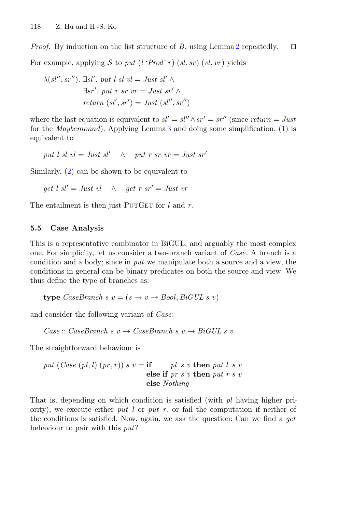*Proof.* By induction on the list structure of *B*, using Lemma [2](#page-17-2) repeatedly.  $\square$ 

For example, applying S to put  $(l'Proof r)$   $(sl, sr)$   $(vl, vr)$  yields

$$
\lambda(sl'', sr''). \exists sl'.\ put\ l\ sl\ vl = Just\ sl' \land
$$
  

$$
\exists sr'.\ put\ r\ sr\ vr = Just\ sr' \land
$$
  
return 
$$
(sl', sr') = Just\ (sl'', sr'')
$$

where the last equation is equivalent to  $sl' = sl'' \wedge sr' = sr''$  (since *return* = *Just* for the *Maybe*monad). Applying Lemma [3](#page-17-3) and doing some simplification, [\(1\)](#page-17-0) is equivalent to

$$
put\ \, l\,\,sl\,sl\,\,vl\,=\,Just\,\,sl'\quad\wedge\quad\, put\,\,r\,\,sr\,\,vr\,=\,Just\,\,sr'
$$

Similarly, [\(2\)](#page-17-1) can be shown to be equivalent to

 $get \; l \; sl' = Just \; vl \quad \wedge \quad get \; r \; sr' = Just \; vr$ 

The entailment is then just PUTGET for  $l$  and  $r$ .

#### **5.5 Case Analysis**

This is a representative combinator in BiGUL, and arguably the most complex one. For simplicity, let us consider a two-branch variant of *Case*. A branch is a condition and a body; since in *put* we manipulate both a source and a view, the conditions in general can be binary predicates on both the source and view. We thus define the type of branches as:

**type**  $\text{CaseBranch} s v = (s \rightarrow v \rightarrow \text{Bool}, \text{BiGUL} s v)$ 

and consider the following variant of *Case*:

```
Case::CaseBranch \, s \, v \rightarrow CaseBranch \, s \, v \rightarrow BiGUL \, s \, v
```
The straightforward behaviour is

*put*  $(Case (pl, l) (pr, r)) s v = \textbf{if}$  *pl s v* **then** *put l s v* **else if** *pr s v* **then** *put r s v* **else** *Nothing*

That is, depending on which condition is satisfied (with *pl* having higher priority), we execute either *put l* or *put r* , or fail the computation if neither of the conditions is satisfied. Now, again, we ask the question: Can we find a *get* behaviour to pair with this *put*?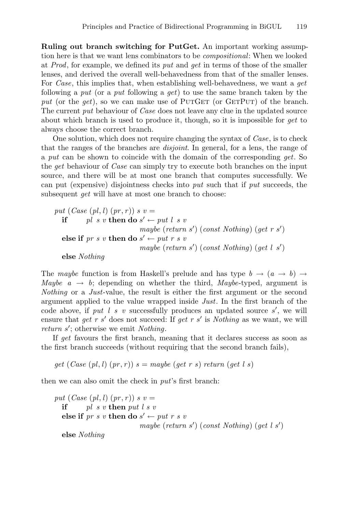**Ruling out branch switching for PutGet.** An important working assumption here is that we want lens combinators to be *compositional*: When we looked at *Prod*, for example, we defined its *put* and *get* in terms of those of the smaller lenses, and derived the overall well-behavedness from that of the smaller lenses. For *Case*, this implies that, when establishing well-behavedness, we want a *get* following a *put* (or a *put* following a *get*) to use the same branch taken by the put (or the  $qet$ ), so we can make use of PUTGET (or GETPUT) of the branch. The current *put* behaviour of *Case* does not leave any clue in the updated source about which branch is used to produce it, though, so it is impossible for *get* to always choose the correct branch.

One solution, which does not require changing the syntax of *Case*, is to check that the ranges of the branches are *disjoint*. In general, for a lens, the range of a *put* can be shown to coincide with the domain of the corresponding *get*. So the *get* behaviour of *Case* can simply try to execute both branches on the input source, and there will be at most one branch that computes successfully. We can put (expensive) disjointness checks into *put* such that if *put* succeeds, the subsequent *get* will have at most one branch to choose:

```
put (Case (pl, l) (pr, r)) s v =\textbf{if} \quad pl \quad s \; v \; \textbf{then} \; \textbf{do} \; s' \leftarrow put \; l \; s \; vmapbe (return s') (const Nothing) (get r s')
   \textbf{else if } pr \ s \ v \ \textbf{then } \textbf{do } s' \leftarrow put \ r \ s \ vmapbe (return s') (const Nothing) (get l s')
   else Nothing
```
The *maybe* function is from Haskell's prelude and has type  $b \rightarrow (a \rightarrow b) \rightarrow$ *Maybe a*  $\rightarrow$  *b*; depending on whether the third, *Maybe*-typed, argument is *Nothing* or a *Just*-value, the result is either the first argument or the second argument applied to the value wrapped inside *Just*. In the first branch of the code above, if put l s v successfully produces an updated source s', we will ensure that *get r s'* does not succeed: If *get r s'* is *Nothing* as we want, we will *return* s'; otherwise we emit *Nothing*.

If *get* favours the first branch, meaning that it declares success as soon as the first branch succeeds (without requiring that the second branch fails),

```
get (Case (pl, l) (pr, r)) s = maybe (get r s) return (get l s)
```
then we can also omit the check in *put*'s first branch:

 $put (Case (pl, l) (pr, r)) s v =$ **if** *pl s v* **then** *put l s v*  $\textbf{else if } pr \text{ } s \text{ } v \text{ } \textbf{then } \textbf{do } s' \leftarrow put \text{ } r \text{ } s \text{ } v$ *maybe* (*return* s') (*const Nothing*) (*get l s'*)

**else** *Nothing*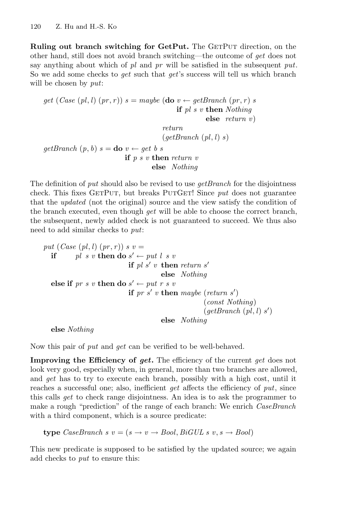**Ruling out branch switching for GetPut.** The GETPUT direction, on the other hand, still does not avoid branch switching—the outcome of *get* does not say anything about which of *pl* and *pr* will be satisfied in the subsequent *put*. So we add some checks to *get* such that *get*'s success will tell us which branch will be chosen by *put*:

```
get (Case (pl, l) (pr, r)) s = maybe (do v \leftarrow getBranch (pr, r) sif pl s v then Nothing
                                                    else return v)
                                      return
                                      (getBranch (pl, l) s)
getBranch(p, b) s =do v \leftarrow get b s
                         if psv then return v
                                  else Nothing
```
The definition of *put* should also be revised to use *getBranch* for the disjointness check. This fixes GETPUT, but breaks PUTGET! Since *put* does not guarantee that the *updated* (not the original) source and the view satisfy the condition of the branch executed, even though *get* will be able to choose the correct branch, the subsequent, newly added check is not guaranteed to succeed. We thus also need to add similar checks to *put*:

```
put (Case (pl, l) (pr, r)) s v =if pl \ s \ v \text{ then do } s' \leftarrow put \ l \ s \ v\intif p \mid s' \ v then return s'else Nothing
    \textbf{else if } pr \text{ } s \text{ } v \text{ } \textbf{then } \textbf{do } s' \leftarrow put \text{ } rs \text{ } v\mathbf{if} \mathit{pr} \mathit{s}' \mathit{v} \mathbf{then} \mathit{maybe} (\mathit{return} \mathit{s}')
                                                                                        (const Nothing)
                                                                                        (getBranch(pl, l) s')else Nothing
```
**else** *Nothing*

Now this pair of *put* and *get* can be verified to be well-behaved.

**Improving the Efficiency of** *get***.** The efficiency of the current *get* does not look very good, especially when, in general, more than two branches are allowed, and *get* has to try to execute each branch, possibly with a high cost, until it reaches a successful one; also, inefficient *get* affects the efficiency of *put*, since this calls *get* to check range disjointness. An idea is to ask the programmer to make a rough "prediction" of the range of each branch: We enrich *CaseBranch* with a third component, which is a source predicate:

**type**  $\text{CaseBranch} s v = (s \rightarrow v \rightarrow \text{Bool}, \text{BiGUL} s v, s \rightarrow \text{Bool})$ 

This new predicate is supposed to be satisfied by the updated source; we again add checks to *put* to ensure this: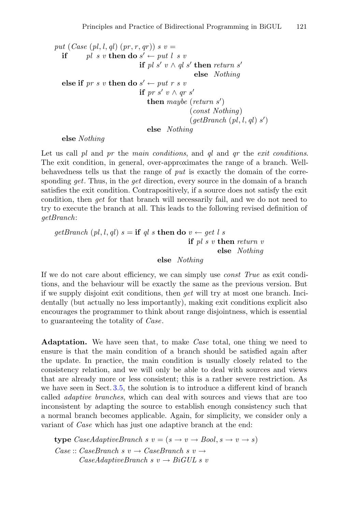```
put (Case (pl, l, gl) (pr, r, qr)) s v =\textbf{if} \quad pl \quad s \text{ } v \text{ } \textbf{then} \text{ } \textbf{do} \text{ } s' \leftarrow put \text{ } l \text{ } s \text{ } vif pl s' v \wedge ql s' then return s'
                                                                                    else Nothing
    \textbf{else if } pr \text{ } s \text{ } v \text{ } \textbf{then } \textbf{do } s' \leftarrow put \text{ } r \text{ } s \text{ } vif pr s' v \wedge qr s'\mathbf{then} \ \mathit{maybe} \ (\mathit{return} \ \mathit{s}')(const Nothing)
                                                                                  (getBranch(pl, l, ql) s')else Nothing
```
**else** *Nothing*

Let us call *pl* and *pr* the *main conditions*, and *ql* and *qr* the *exit conditions*. The exit condition, in general, over-approximates the range of a branch. Wellbehavedness tells us that the range of *put* is exactly the domain of the corresponding *get*. Thus, in the *get* direction, every source in the domain of a branch satisfies the exit condition. Contrapositively, if a source does not satisfy the exit condition, then *get* for that branch will necessarily fail, and we do not need to try to execute the branch at all. This leads to the following revised definition of *getBranch*:

```
getBranch(p, l, d) s = \textbf{if } d \text{ } s \textbf{ then } \textbf{do } v \leftarrow q \textbf{et } l \textbf{ s}if pl s v then return v
                                                                               else Nothing
                                                  else Nothing
```
If we do not care about efficiency, we can simply use *const True* as exit conditions, and the behaviour will be exactly the same as the previous version. But if we supply disjoint exit conditions, then *get* will try at most one branch. Incidentally (but actually no less importantly), making exit conditions explicit also encourages the programmer to think about range disjointness, which is essential to guaranteeing the totality of *Case*.

**Adaptation.** We have seen that, to make *Case* total, one thing we need to ensure is that the main condition of a branch should be satisfied again after the update. In practice, the main condition is usually closely related to the consistency relation, and we will only be able to deal with sources and views that are already more or less consistent; this is a rather severe restriction. As we have seen in Sect. [3.5,](#page-7-0) the solution is to introduce a different kind of branch called *adaptive branches*, which can deal with sources and views that are too inconsistent by adapting the source to establish enough consistency such that a normal branch becomes applicable. Again, for simplicity, we consider only a variant of *Case* which has just one adaptive branch at the end:

**type**  $\text{CaseAdaptive Branch } s \ v = (s \rightarrow v \rightarrow \text{Bool}, s \rightarrow v \rightarrow s)$ *Case* :: *CaseBranch s v* → *CaseBranch s v* → *CaseAdaptiveBranch s v* → *BiGUL s v*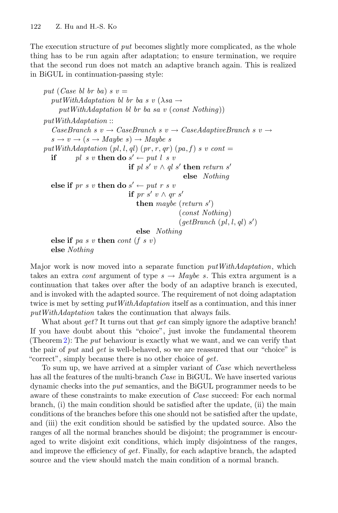The execution structure of *put* becomes slightly more complicated, as the whole thing has to be run again after adaptation; to ensure termination, we require that the second run does not match an adaptive branch again. This is realized in BiGUL in continuation-passing style:

```
put (Case bl br ba) s v =putWithAdaptation bl br ba s v (λsa →
      putWithAdaptation bl br ba sa v (const Nothing))
putWithAdaptation ::
   CaseBranch s v → CaseBranch s v → CaseAdaptiveBranch s v →
   s \rightarrow v \rightarrow (s \rightarrow Maybe s) \rightarrow Maybe sputWithAdaptation (pl, l, gl) (pr, r, qr) (pa, f) s v cont =if pl \ s \ v \text{ then do } s' \leftarrow put \ l \ s \ v\mathbf{if} pl s' v \wedge ql s' \mathbf{then} return s'
                                                        else Nothing
   \textbf{else if } pr \text{ } s \text{ } v \text{ } \textbf{then } \textbf{do } s' \leftarrow put \text{ } r \text{ } s \text{ } vif pr s' v \wedge qr s'then maybe (return s')
                                                      (const Nothing)
                                                      (getBranch(pl, l, ql) s')else Nothing
   else if pa \, s \, v then cont \, (f \, s \, v)else Nothing
```
Major work is now moved into a separate function *putWithAdaptation*, which takes an extra *cont* argument of type  $s \to Maybe\ s$ . This extra argument is a continuation that takes over after the body of an adaptive branch is executed, and is invoked with the adapted source. The requirement of not doing adaptation twice is met by setting *putWithAdaptation* itself as a continuation, and this inner *putWithAdaptation* takes the continuation that always fails.

What about *get*? It turns out that *get* can simply ignore the adaptive branch! If you have doubt about this "choice", just invoke the fundamental theorem (Theorem [2\)](#page-14-0): The *put* behaviour is exactly what we want, and we can verify that the pair of *put* and *get* is well-behaved, so we are reassured that our "choice" is "correct", simply because there is no other choice of *get*.

To sum up, we have arrived at a simpler variant of *Case* which nevertheless has all the features of the multi-branch *Case* in BiGUL. We have inserted various dynamic checks into the *put* semantics, and the BiGUL programmer needs to be aware of these constraints to make execution of *Case* succeed: For each normal branch, (i) the main condition should be satisfied after the update, (ii) the main conditions of the branches before this one should not be satisfied after the update, and (iii) the exit condition should be satisfied by the updated source. Also the ranges of all the normal branches should be disjoint; the programmer is encouraged to write disjoint exit conditions, which imply disjointness of the ranges, and improve the efficiency of *get*. Finally, for each adaptive branch, the adapted source and the view should match the main condition of a normal branch.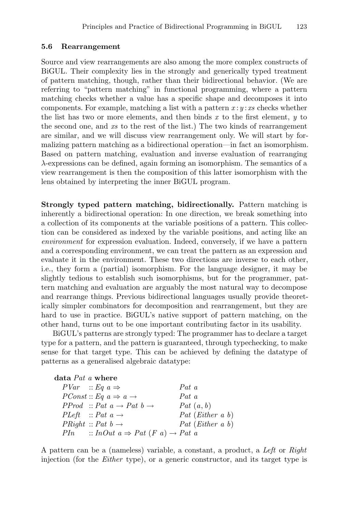#### <span id="page-23-0"></span>**5.6 Rearrangement**

Source and view rearrangements are also among the more complex constructs of BiGUL. Their complexity lies in the strongly and generically typed treatment of pattern matching, though, rather than their bidirectional behavior. (We are referring to "pattern matching" in functional programming, where a pattern matching checks whether a value has a specific shape and decomposes it into components. For example, matching a list with a pattern *x* :*y* :*xs* checks whether the list has two or more elements, and then binds *x* to the first element, *y* to the second one, and *xs* to the rest of the list.) The two kinds of rearrangement are similar, and we will discuss view rearrangement only. We will start by formalizing pattern matching as a bidirectional operation—in fact an isomorphism. Based on pattern matching, evaluation and inverse evaluation of rearranging λ-expressions can be defined, again forming an isomorphism. The semantics of a view rearrangement is then the composition of this latter isomorphism with the lens obtained by interpreting the inner BiGUL program.

**Strongly typed pattern matching, bidirectionally.** Pattern matching is inherently a bidirectional operation: In one direction, we break something into a collection of its components at the variable positions of a pattern. This collection can be considered as indexed by the variable positions, and acting like an *environment* for expression evaluation. Indeed, conversely, if we have a pattern and a corresponding environment, we can treat the pattern as an expression and evaluate it in the environment. These two directions are inverse to each other, i.e., they form a (partial) isomorphism. For the language designer, it may be slightly tedious to establish such isomorphisms, but for the programmer, pattern matching and evaluation are arguably the most natural way to decompose and rearrange things. Previous bidirectional languages usually provide theoretically simpler combinators for decomposition and rearrangement, but they are hard to use in practice. BiGUL's native support of pattern matching, on the other hand, turns out to be one important contributing factor in its usability.

BiGUL's patterns are strongly typed: The programmer has to declare a target type for a pattern, and the pattern is guaranteed, through typechecking, to make sense for that target type. This can be achieved by defining the datatype of patterns as a generalised algebraic datatype:

#### **data** *Pat a* **where**

| $PVar :: Eq \ a \Rightarrow$                             | Pat a                |
|----------------------------------------------------------|----------------------|
| $PConst :: Eq \ a \Rightarrow a \rightarrow$             | Pat a                |
| $PProd :: Pat\ a \rightarrow Pat\ b \rightarrow$         | Pat $(a, b)$         |
| $PLeft :: Pat \ a \rightarrow$                           | $Pat$ (Either a b)   |
| $PRight :: Pat \ b \rightarrow$                          | $Pat (Either\ a\ b)$ |
| $PIn :: InOut a \Rightarrow Pat (F a) \rightarrow Pat a$ |                      |

A pattern can be a (nameless) variable, a constant, a product, a *Left* or *Right* injection (for the *Either* type), or a generic constructor, and its target type is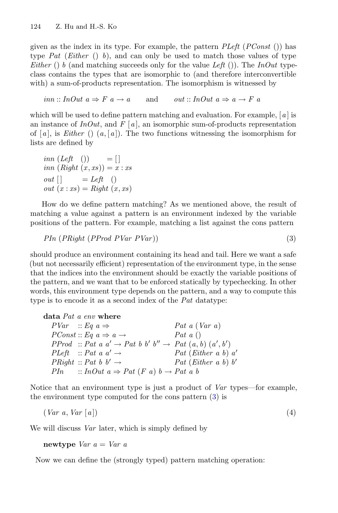given as the index in its type. For example, the pattern *PLeft* (*PConst* ()) has type *Pat* (*Either* () *b*), and can only be used to match those values of type *Either* () *b* (and matching succeeds only for the value *Left* ()). The *InOut* typeclass contains the types that are isomorphic to (and therefore interconvertible with) a sum-of-products representation. The isomorphism is witnessed by

 $\lim_{x \to a} \ln \frac{f}{f}$  a  $\Rightarrow f$  a  $\Rightarrow a$  and  $\lim_{x \to a} \ln \frac{f}{f}$  a  $\Rightarrow f$  a

which will be used to define pattern matching and evaluation. For example, [*a* ] is an instance of  $InOut$ , and  $F[a]$ , an isomorphic sum-of-products representation of  $[a]$ , is *Either* ()  $(a, [a])$ . The two functions witnessing the isomorphism for lists are defined by

 $\lim_{h \to 0} (Left \quad)) \qquad = \lceil \rceil$  $\lim_{x \to a} (Right(x, xs)) = x : xs$  $out$  []  $= Left$  ()  $out(x; xs) = Right(x, xs)$ 

How do we define pattern matching? As we mentioned above, the result of matching a value against a pattern is an environment indexed by the variable positions of the pattern. For example, matching a list against the cons pattern

<span id="page-24-0"></span>
$$
PIn (PRight (PProd PVar PVar)) \tag{3}
$$

should produce an environment containing its head and tail. Here we want a safe (but not necessarily efficient) representation of the environment type, in the sense that the indices into the environment should be exactly the variable positions of the pattern, and we want that to be enforced statically by typechecking. In other words, this environment type depends on the pattern, and a way to compute this type is to encode it as a second index of the *Pat* datatype:

```
data Pat a env where
   PVar :: Eq a \Rightarrow Pat a (Var a)<br>PConst :: Eq a \Rightarrow a \rightarrow Pat a ()
   PConst :: Eq \ a \Rightarrow a \rightarrowPProd :: Pat \ a \ a' \rightarrow Pat \ b \ b' \ b'' \rightarrow Pat \ (a, b) \ (a', b')PLeft :: Pat a a' \rightarrowP_{\text{at}} (Either a b) a'PRight :: Pat b b' \rightarrow\rightarrow Pat (Either a b) b<sup>\prime</sup>
   PIn \therefore InOut a \Rightarrow Pat (F a) b \rightarrow Pat a b
```
Notice that an environment type is just a product of *Var* types—for example, the environment type computed for the cons pattern  $(3)$  is

<span id="page-24-1"></span>
$$
(Var\ a, Var\ [a])\tag{4}
$$

We will discuss *Var* later, which is simply defined by

**newtype** *Var a* = *Var a*

Now we can define the (strongly typed) pattern matching operation: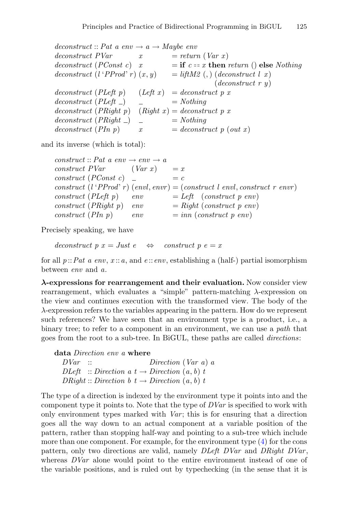$deconstruct :: Pat \ a \ env \rightarrow a \rightarrow Maybe \ env$ <br> $deconstruct \ PVar \ x = return$  $= return (Var x)$ *deconstruct* (*PConst c*) *x* = **if**  $c = x$  **then** *return* () **else** *Nothing deconstruct*  $(l'PProd' r)(x, y) = liftM2$  (,) (*deconstruct* l x) (*deconstruct r y*)  $deconstruct (PLeft p)$   $(Left x) = deconstruct p x$  $deconstruct (PLeft \_) = Notbing$  $deconstruct (PRight p)$   $(Right x) = deconstruct p x$  $deconstruct (PRight \_)$  =  $Nothing$  $deconstruct (PIn p)$   $x = deconstruct p (out x)$ 

and its inverse (which is total):

| construct :: Pat a env $\rightarrow$ env $\rightarrow a$ |     |                                                                              |
|----------------------------------------------------------|-----|------------------------------------------------------------------------------|
| $construct\, PVar$ (Var x)                               |     | $= x$                                                                        |
| $construct (PConst c)$ $-$                               |     | $= c$                                                                        |
|                                                          |     | construct $(l'PProd' r)$ (envl, envr) = (construct l envl, construct r envr) |
| construct (PLeft p)                                      | env | $= Left$ (construct p env)                                                   |
| construct (PRight p)                                     | env | $=$ Right (construct p env)                                                  |
| construct (PIn p)                                        | env | $=$ inn (construct p env)                                                    |

Precisely speaking, we have

*deconstruct*  $p x = Just e \Leftrightarrow construct p e = x$ 

for all *p* ::*Pat a env*, *x* ::*a*, and *e* ::*env*, establishing a (half-) partial isomorphism between *env* and *a*.

*λ***-expressions for rearrangement and their evaluation.** Now consider view rearrangement, which evaluates a "simple" pattern-matching  $\lambda$ -expression on the view and continues execution with the transformed view. The body of the λ-expression refers to the variables appearing in the pattern. How do we represent such references? We have seen that an environment type is a product, i.e., a binary tree; to refer to a component in an environment, we can use a *path* that goes from the root to a sub-tree. In BiGUL, these paths are called *directions*:

**data** *Direction env a* **where** *DVar* :: *Direction* (*Var a*) *a DLeft* :: *Direction a t*  $\rightarrow$  *Direction*  $(a, b)$  *t*  $DRight :: Direction b t \rightarrow Direction (a, b) t$ 

The type of a direction is indexed by the environment type it points into and the component type it points to. Note that the type of *DVar* is specified to work with only environment types marked with *Var* ; this is for ensuring that a direction goes all the way down to an actual component at a variable position of the pattern, rather than stopping half-way and pointing to a sub-tree which include more than one component. For example, for the environment type [\(4\)](#page-24-1) for the cons pattern, only two directions are valid, namely *DLeft DVar* and *DRight DVar* , whereas *DVar* alone would point to the entire environment instead of one of the variable positions, and is ruled out by typechecking (in the sense that it is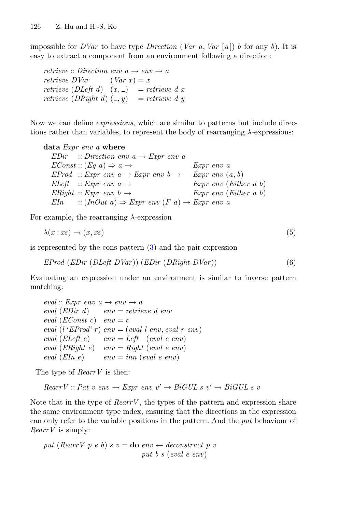impossible for *DVar* to have type *Direction* (*Var a*, *Var* [*a* ]) *b* for any *b*). It is easy to extract a component from an environment following a direction:

 $r$ *etrieve* :: *Direction env a*  $\rightarrow env \rightarrow a$ <br>*retrieve DVar* (Var x) = x *retrieve DVar* (*Var x* ) = *x retrieve* (*DLeft d*)  $(x, z) =$  *retrieve d x retrieve* (*DRight d*)  $($ , *y*) = *retrieve d y* 

Now we can define *expressions*, which are similar to patterns but include directions rather than variables, to represent the body of rearranging  $\lambda$ -expressions:

**data** *Expr env a* **where** *EDir* :: *Direction env a*  $\rightarrow$  *Expr env a EConst* ::  $(Eq \t a) \Rightarrow a \rightarrow Expr \t env \t a$ <br>*EProd* :: *Expr* env  $a \rightarrow Expr \t env \t b \rightarrow Expr \t env \t (a, b)$ *EProd* :: *Expr env a*  $\rightarrow$  *Expr env b*  $\rightarrow$  *Expr env* (*a*, *b*) *ELeft* :: *Expr env a*  $\rightarrow$  *Expr env* (*Either a b*) *ELeft* :: *Expr env a* → *Expr env* (*Either a b*)<br>*ERight* :: *Expr env b* → *Expr env* (*Either a b*) *ERight* :: *Expr env*  $b \rightarrow$  *EIn* ::  $(InOut a) \Rightarrow$  *i*  $E: (InOut a) \Rightarrow \text{Expr}$  env<sub>(Fa)</sub>  $\rightarrow \text{Expr}$  env a

For example, the rearranging  $\lambda$ -expression

<span id="page-26-0"></span>
$$
\lambda(x:xs) \to (x, xs) \tag{5}
$$

is represented by the cons pattern [\(3\)](#page-24-0) and the pair expression

<span id="page-26-1"></span>*EProd* (*EDir* (*DLeft DVar* )) (*EDir* (*DRight DVar* )) (6)

Evaluating an expression under an environment is similar to inverse pattern matching:

 $eval :: Expr$   $env$   $a \rightarrow env \rightarrow a$ <br>  $eval (EDir d)$   $env = retrieve$  $env = retrieve d$  *env*  $eval (EConst c)$   $env = c$  $eval (l 'EProd' r) env = (eval l env, eval r env)$  $eval(ELeft e)$  *env* = *Left* (*eval e env*)  $eval (ERight e)$  *env* = *Right* (*eval e env*)  $eval(EIn e)$  *env* = *inn* (*eval e env*)

The type of *RearrV* is then:

```
RearrV :: Pat\ v\ env \rightarrow Expr\ env\ v' \rightarrow BiGUL\ s\ v' \rightarrow BiGUL\ s\ v
```
Note that in the type of *RearrV* , the types of the pattern and expression share the same environment type index, ensuring that the directions in the expression can only refer to the variable positions in the pattern. And the *put* behaviour of *RearrV* is simply:

```
put (RearrV p e b) s v = do env ← deconstruct p v
                            put b s (eval e env)
```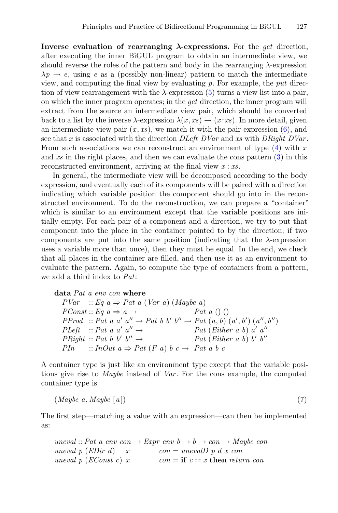**Inverse evaluation of rearranging** *λ*-**expressions.** For the *get* direction, after executing the inner BiGUL program to obtain an intermediate view, we should reverse the roles of the pattern and body in the rearranging  $\lambda$ -expression  $\lambda p \rightarrow e$ , using *e* as a (possibly non-linear) pattern to match the intermediate view, and computing the final view by evaluating *p*. For example, the *put* direction of view rearrangement with the  $\lambda$ -expression [\(5\)](#page-26-0) turns a view list into a pair, on which the inner program operates; in the *get* direction, the inner program will extract from the source an intermediate view pair, which should be converted back to a list by the inverse  $\lambda$ -expression  $\lambda(x, xs) \rightarrow (x:xs)$ . In more detail, given an intermediate view pair  $(x, xs)$ , we match it with the pair expression  $(6)$ , and see that x is associated with the direction *DLeft DVar* and *xs* with *DRight DVar* . From such associations we can reconstruct an environment of type [\(4\)](#page-24-1) with *x* and *xs* in the right places, and then we can evaluate the cons pattern [\(3\)](#page-24-0) in this reconstructed environment, arriving at the final view *x* : *xs*.

In general, the intermediate view will be decomposed according to the body expression, and eventually each of its components will be paired with a direction indicating which variable position the component should go into in the reconstructed environment. To do the reconstruction, we can prepare a "container" which is similar to an environment except that the variable positions are initially empty. For each pair of a component and a direction, we try to put that component into the place in the container pointed to by the direction; if two components are put into the same position (indicating that the  $\lambda$ -expression uses a variable more than once), then they must be equal. In the end, we check that all places in the container are filled, and then use it as an environment to evaluate the pattern. Again, to compute the type of containers from a pattern, we add a third index to *Pat*:

**data** *Pat a env con* **where**

*PVar* :: *Eq a*  $\Rightarrow$  *Pat a* (*Var a*) (*Maybe a*)<br>*PConst* :: *Eq a*  $\Rightarrow$  *a*  $\rightarrow$  *Pat a* () ()  $PConst :: Eq \ a \Rightarrow a \rightarrow$  $PProd :: Pat \ a \ a' \ a'' \rightarrow Pat \ b \ b' \ b'' \rightarrow Pat \ (a, b) \ (a', b') \ (a'', b'')$ *PLeft* :: *Pat a a' a''*  $Pat$  (*Either a b*)  $a' a''$  $PRight :: Pat \; b \; b' \; b''$  $P_{at}$  (*Either a b*) *b*<sup> $\prime}$ </sup> *b*<sup> $\prime\prime$ </sup> *PIn*  $:: InOut a \Rightarrow Pat (F a) b c \rightarrow Pat a b c$ 

A container type is just like an environment type except that the variable positions give rise to *Maybe* instead of *Var* . For the cons example, the computed container type is

<span id="page-27-0"></span>
$$
(Maybe \ a, Maybe \ [a]) \tag{7}
$$

The first step—matching a value with an expression—can then be implemented as:

*uneval* :: *Pat a env con*  $\rightarrow$  *Expr env b*  $\rightarrow$  *b*  $\rightarrow$  *con*  $\rightarrow$  *Maybe con uneval p* (*EDir d*) *x con* = *unevalD p d x con*  $con = unevalD$  *p d x con uneval*  $p$  (*EConst c*) *x con* = **if**  $c = x$  **then** *return con*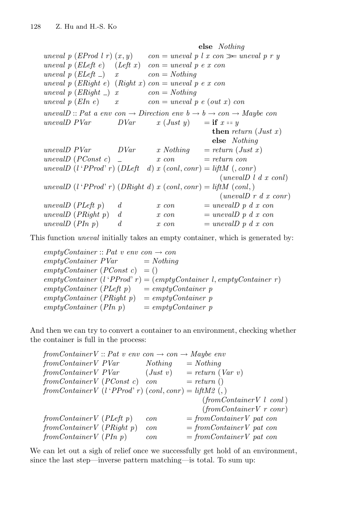**else** *Nothing uneval p* (*EProd l r*)  $(x, y)$  *con* = *uneval p l x con*  $\gg$  *uneval p r y uneval*  $p$  (*ELeft e*) (*Left x*) *con* = *uneval*  $p$  *e x con uneval*  $p$  (*ELeft*  $\Box$ ) *x*  $con = \text{Nothing}$ *uneval p* (*ERight e*) (*Right x* ) *con* = *uneval p e x con uneval*  $p$  (*ERight*  $\Box$ ) *x*  $con = \text{Nothing}$ *uneval*  $p(EIn e)$  *x con* = *uneval*  $p e(out x)$  *con*  $u$ neval $D$  :: *Pat a env con*  $\rightarrow$  *Direction env b*  $\rightarrow$  *b*  $\rightarrow$  *con*  $\rightarrow$  *Maybe con*  $x$  *(Just y)* = **if**  $x = y$ *unevalD PVar* **then** *return* (*Just x* ) **else** *Nothing*  $u$ nevalD PVar DVar x Nothing =  $return (Just x)$  $u$ nevalD<sup>( $PConst c$ )</sup>  $=$   $x con$  =  $return con$ *unevalD*  $(l'PProd' r)$   $(DLeft d) x (conl, conv) = liftM (conv)$ (*unevalD l d x conl*) *unevalD*  $(l \nvert Pprod' r)$   $(DRight d) x (conl, conv) = lift M (conl, )$ (*unevalD r d x conr* )  $u$ nevalD (*PLeft p*) *d*  $x$  *con* = *unevalD p d x con*  $u$ nevalD (*PRight p*) *d*  $x$  *con* = *unevalD p d x con*  $u$ nevalD (*PIn p*) *d*  $x$  *con* =  $u$ nevalD p d x *con* 

This function *uneval* initially takes an empty container, which is generated by:

 $emptyContainer :: Pat \ v \ env \ con \rightarrow con$ <br> $emptyContainer \ PVar = Nothing$ *emptyContainer PVar* = *Nothing*  $emptyContainer (PConst c) = ()$ *emptyContainer* (*l* '*PProd*' *r* )=(*emptyContainer l*, *emptyContainer r* )  $emptyContainer (PLeft p) = emptyContainer p$ *emptyContainer* (*PRight p*) = *emptyContainer p emptyContainer* (*PIn p*) = *emptyContainer p*

And then we can try to convert a container to an environment, checking whether the container is full in the process:

| $from ContainerV :: Pat \ v \ env \ con \rightarrow con \rightarrow Maybe \ env$ |         |                                |
|----------------------------------------------------------------------------------|---------|--------------------------------|
| $from Container V$ $PVar$                                                        | Nothing | $= \text{Nothing}$             |
| $from Container V$ $PVar$                                                        |         | $(Just\ v) = return\ (Var\ v)$ |
| from Container V (PConst c)                                                      | con     | $= return ()$                  |
| from Container V (l'PProd'r) $(\text{conl}, \text{conr}) = \text{liftM2}$ (,)    |         |                                |
|                                                                                  |         | (fromContainerV1conl)          |
|                                                                                  |         | $(fromContainerV\ r\ corr)$    |
| from Container V (PLeft p)                                                       | con     | $= from Container V$ pat con   |
| from Container V (PRight p)                                                      | con     | $= from Container V$ pat con   |
| from ContainerV (PIn p)                                                          | con     | $= from Container V$ pat con   |

We can let out a sigh of relief once we successfully get hold of an environment, since the last step—inverse pattern matching—is total. To sum up: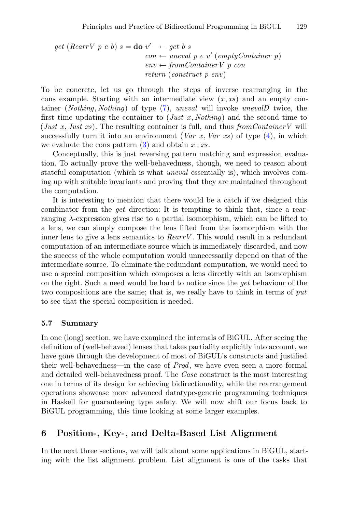$get (RearrV \ p \ e \ b) \ s = \mathbf{do} \ v' \ \leftarrow get \ b \ s$  $con \leftarrow$  *uneval*  $p \in v'$  (*emptyContainer p*)  $env \leftarrow fromContainerV$  *p* con *return* (*construct p env*)

To be concrete, let us go through the steps of inverse rearranging in the cons example. Starting with an intermediate view  $(x, xs)$  and an empty container (*Nothing*, *Nothing*) of type [\(7\)](#page-27-0), *uneval* will invoke *unevalD* twice, the first time updating the container to (*Just x* , *Nothing*) and the second time to (*Just x* , *Just xs*). The resulting container is full, and thus *fromContainerV* will successfully turn it into an environment (*Var x*, *Var xs*) of type  $(4)$ , in which we evaluate the cons pattern [\(3\)](#page-24-0) and obtain *x* : *xs*.

Conceptually, this is just reversing pattern matching and expression evaluation. To actually prove the well-behavedness, though, we need to reason about stateful computation (which is what *uneval* essentially is), which involves coming up with suitable invariants and proving that they are maintained throughout the computation.

It is interesting to mention that there would be a catch if we designed this combinator from the *get* direction: It is tempting to think that, since a rearranging  $\lambda$ -expression gives rise to a partial isomorphism, which can be lifted to a lens, we can simply compose the lens lifted from the isomorphism with the inner lens to give a lens semantics to *RearrV* . This would result in a redundant computation of an intermediate source which is immediately discarded, and now the success of the whole computation would unnecessarily depend on that of the intermediate source. To eliminate the redundant computation, we would need to use a special composition which composes a lens directly with an isomorphism on the right. Such a need would be hard to notice since the *get* behaviour of the two compositions are the same; that is, we really have to think in terms of *put* to see that the special composition is needed.

#### **5.7 Summary**

In one (long) section, we have examined the internals of BiGUL. After seeing the definition of (well-behaved) lenses that takes partiality explicitly into account, we have gone through the development of most of BiGUL's constructs and justified their well-behavedness—in the case of *Prod*, we have even seen a more formal and detailed well-behavedness proof. The *Case* construct is the most interesting one in terms of its design for achieving bidirectionality, while the rearrangement operations showcase more advanced datatype-generic programming techniques in Haskell for guaranteeing type safety. We will now shift our focus back to BiGUL programming, this time looking at some larger examples.

# <span id="page-29-0"></span>**6 Position-, Key-, and Delta-Based List Alignment**

In the next three sections, we will talk about some applications in BiGUL, starting with the list alignment problem. List alignment is one of the tasks that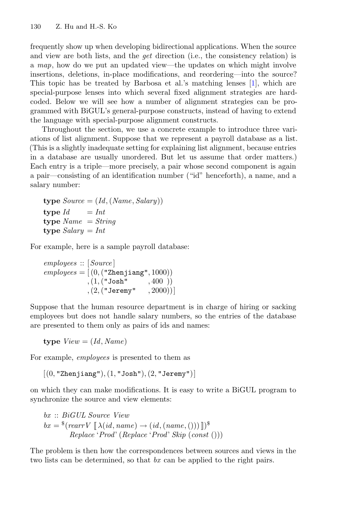frequently show up when developing bidirectional applications. When the source and view are both lists, and the *get* direction (i.e., the consistency relation) is a *map*, how do we put an updated view—the updates on which might involve insertions, deletions, in-place modifications, and reordering—into the source? This topic has be treated by Barbosa et al.'s matching lenses [\[1\]](#page-49-6), which are special-purpose lenses into which several fixed alignment strategies are hardcoded. Below we will see how a number of alignment strategies can be programmed with BiGUL's general-purpose constructs, instead of having to extend the language with special-purpose alignment constructs.

Throughout the section, we use a concrete example to introduce three variations of list alignment. Suppose that we represent a payroll database as a list. (This is a slightly inadequate setting for explaining list alignment, because entries in a database are usually unordered. But let us assume that order matters.) Each entry is a triple—more precisely, a pair whose second component is again a pair—consisting of an identification number ("id" henceforth), a name, and a salary number:

**type**  $Source = (Id, (Name, Salary))$  $\mathbf{type} \; Id \quad = Int$ **type** *Name* = *String* **type** *Salary* = *Int*

For example, here is a sample payroll database:

*employees* :: [*Source* ]  $\textit{employees} = [(0, ("Zhenjiang", 1000))]$  $, (1, ("Josh" , 400))$  $,(2,(\texttt{"Jeremy" \quad},2000))]$ 

Suppose that the human resource department is in charge of hiring or sacking employees but does not handle salary numbers, so the entries of the database are presented to them only as pairs of ids and names:

 $\tt type View = (Id, Name)$ 

For example, *employees* is presented to them as

 $[(0, "Zhenjiang"), (1, "Josh"), (2, "Jeremy"]$ 

on which they can make modifications. It is easy to write a BiGUL program to synchronize the source and view elements:

```
bx :: BiGUL Source View
bx =<sup>§</sup>(rearr V [\lambda(id, name) \rightarrow (id, (name,()))]<sup>§</sup>
          Replace 'Prod' (Replace 'Prod' Skip (const ()))
```
The problem is then how the correspondences between sources and views in the two lists can be determined, so that *bx* can be applied to the right pairs.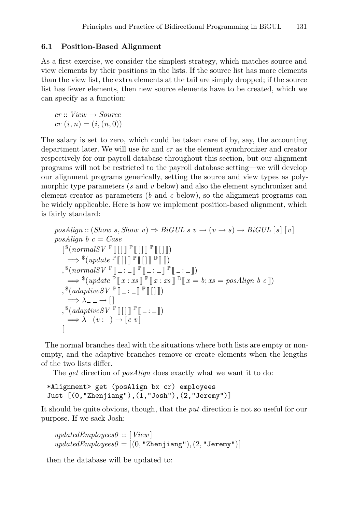#### **6.1 Position-Based Alignment**

As a first exercise, we consider the simplest strategy, which matches source and view elements by their positions in the lists. If the source list has more elements than the view list, the extra elements at the tail are simply dropped; if the source list has fewer elements, then new source elements have to be created, which we can specify as a function:

*cr* :: *View* → *Source*  $cr (i, n) = (i, (n, 0))$ 

The salary is set to zero, which could be taken care of by, say, the accounting department later. We will use *bx* and *cr* as the element synchronizer and creator respectively for our payroll database throughout this section, but our alignment programs will not be restricted to the payroll database setting—we will develop our alignment programs generically, setting the source and view types as polymorphic type parameters (*s* and *v* below) and also the element synchronizer and element creator as parameters (*b* and *c* below), so the alignment programs can be widely applicable. Here is how we implement position-based alignment, which is fairly standard:

$$
posAlign::(Show\ s, Show\ v) \Rightarrow BiGUL\ s\ v \rightarrow (v \rightarrow s) \rightarrow BiGUL\ [s]\ [v]
$$
\n
$$
posAlign\ b\ c = Case
$$
\n
$$
[^{s}(normalSV \mathbb{P}[[\ ]]\mathbb{P}[[\ ]]\mathbb{P}[[\ ]])
$$
\n
$$
\Rightarrow
$$
\n
$$
[^{s}(update \mathbb{P}[[\ ]]\mathbb{P}[[\ ]]\mathbb{P}[[\ ]])
$$
\n
$$
[^{s}(normalSV \mathbb{P}[[\ ]\mathbb{P}[[\ ]]\mathbb{P}[[\ ]])
$$
\n
$$
[^{s}(normalSV \mathbb{P}[[\ ]\mathbb{P}[[\ ]\mathbb{P}[[\ ]\ ]])
$$
\n
$$
\Rightarrow
$$
\n
$$
[^{s}(update \mathbb{P}[[x:xs] \mathbb{P}[[x:xs] \mathbb{P}[x=b;xs=posAlign\ b\ c]])
$$
\n
$$
[^{s}(adaptiveSV \mathbb{P}[[\ ]\ ]\mathbb{P}[[\ ]])
$$
\n
$$
\Rightarrow \lambda_{--} \rightarrow []
$$
\n
$$
[^{s}(adaptiveSV \mathbb{P}[[\ ]]\mathbb{P}[[\ ]\cdots]])
$$
\n
$$
\Rightarrow \lambda_{-}(v: \ ) \rightarrow [c\ v]
$$

The normal branches deal with the situations where both lists are empty or nonempty, and the adaptive branches remove or create elements when the lengths of the two lists differ.

The *get* direction of *posAlign* does exactly what we want it to do:

```
*Alignment> get (posAlign bx cr) employees
Just [(0,"Zhenjiang"),(1,"Josh"),(2,"Jeremy")]
```
It should be quite obvious, though, that the *put* direction is not so useful for our purpose. If we sack Josh:

```
updatedEmployees0 :: [View ]
updatedEmployes0 = [(0, "Zhenjiang"), (2, "Jeremy")]
```
then the database will be updated to: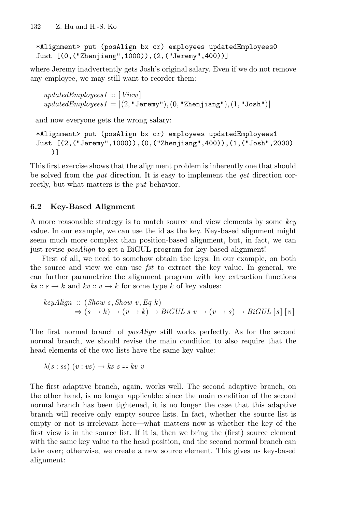\*Alignment> put (posAlign bx cr) employees updatedEmployees0 Just [(0,("Zhenjiang",1000)),(2,("Jeremy",400))]

where Jeremy inadvertently gets Josh's original salary. Even if we do not remove any employee, we may still want to reorder them:

*updatedEmployees1* :: [*View* ]  $updatedEmployes1 = [(2, "Jeremy"), (0, "Zhenjiang"), (1, "Josh")]$ 

and now everyone gets the wrong salary:

```
*Alignment> put (posAlign bx cr) employees updatedEmployees1
Just [(2,("Jeremy",1000)),(0,("Zhenjiang",400)),(1,("Josh",2000)
   )]
```
This first exercise shows that the alignment problem is inherently one that should be solved from the *put* direction. It is easy to implement the *get* direction correctly, but what matters is the *put* behavior.

# **6.2 Key-Based Alignment**

A more reasonable strategy is to match source and view elements by some *key* value. In our example, we can use the id as the key. Key-based alignment might seem much more complex than position-based alignment, but, in fact, we can just revise *posAlign* to get a BiGUL program for key-based alignment!

First of all, we need to somehow obtain the keys. In our example, on both the source and view we can use *fst* to extract the key value. In general, we can further parametrize the alignment program with key extraction functions  $ks :: s \rightarrow k$  and  $kv :: v \rightarrow k$  for some type *k* of key values:

$$
\begin{aligned} keyA lign &:: (Show\ s, Show\ v, Eq\ k) \\ &\Rightarrow (s \rightarrow k) \rightarrow (v \rightarrow k) \rightarrow BiGUL\ s\ v \rightarrow (v \rightarrow s) \rightarrow BiGUL\ [s]\ [v] \end{aligned}
$$

The first normal branch of *posAlign* still works perfectly. As for the second normal branch, we should revise the main condition to also require that the head elements of the two lists have the same key value:

$$
\lambda(s:ss) \ (v:vs) \to ks \ s = k v \ v
$$

The first adaptive branch, again, works well. The second adaptive branch, on the other hand, is no longer applicable: since the main condition of the second normal branch has been tightened, it is no longer the case that this adaptive branch will receive only empty source lists. In fact, whether the source list is empty or not is irrelevant here—what matters now is whether the key of the first view is in the source list. If it is, then we bring the (first) source element with the same key value to the head position, and the second normal branch can take over; otherwise, we create a new source element. This gives us key-based alignment: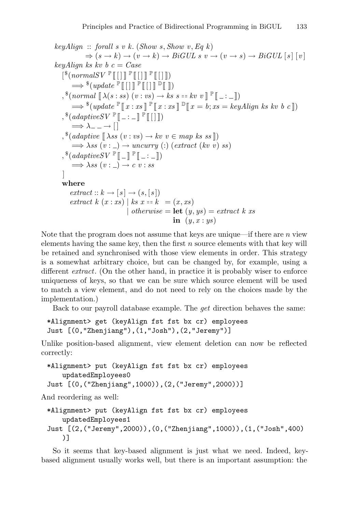$$
keyAlign :: for all s v k. (Show s, Show v, Eq k)
$$
\n
$$
\Rightarrow (s \rightarrow k) \rightarrow (v \rightarrow k) \rightarrow BiGUL s v \rightarrow (v \rightarrow s) \rightarrow BiGUL [s] [v]
$$
\n
$$
keyAlign ks kv b c = Case
$$
\n
$$
[^{8}(normalSV \mathbb{P}[[[]] \mathbb{P}[[[]] \mathbb{P}[[[]]) \mathbb{P}[[[]]) \rightarrow
$$
\n
$$
\Rightarrow
$$
 
$$
[^{8}(update \mathbb{P}[[[]] \mathbb{P}[[[]] \mathbb{P}[[[]]) \mathbb{P}[[[]]) \rightarrow
$$
\n
$$
[^{8}(normal [X(s:ss) (v:vs) \rightarrow ks s == kv v] \mathbb{P}[[...])
$$
\n
$$
\Rightarrow
$$
 
$$
[^{8}(update \mathbb{P}[[x:xs] \mathbb{P}[[x:xs] \mathbb{P}[[x=0;xs=keyAlign ks kv b c]])
$$
\n
$$
[^{8}(adaptiveSV \mathbb{P}[[...] \mathbb{P}[[]]])
$$
\n
$$
\Rightarrow \lambda_{--} \rightarrow []
$$
\n
$$
[^{8}(adaptive [Xs (v:vs) \rightarrow kv v \in map ks ss]])
$$
\n
$$
\Rightarrow \lambda ss (v: ...) \rightarrow uncurry (: (extract (kv v) ss)
$$
\n
$$
[^{8}(adaptiveSV \mathbb{P}[[...] \mathbb{P}[[...]])
$$
\n
$$
\Rightarrow \lambda ss (v: ...) \rightarrow c v : ss
$$
\n
$$
[^{8}(st, "s x = sk = (x, xs) \mathbb{P}[[...]) \rightarrow
$$
\n
$$
@stract :: k \rightarrow [s] \rightarrow (s, [s])
$$
\n
$$
@stract k (x: xs) | ks x == k = (x, xs)
$$
\n
$$
[otherwise = let (y, ys) = extract k xs
$$
\n
$$
in (y, xs)
$$

Note that the program does not assume that keys are unique—if there are  $n$  view elements having the same key, then the first  $n$  source elements with that key will be retained and synchronised with those view elements in order. This strategy is a somewhat arbitrary choice, but can be changed by, for example, using a different *extract*. (On the other hand, in practice it is probably wiser to enforce uniqueness of keys, so that we can be sure which source element will be used to match a view element, and do not need to rely on the choices made by the implementation.)

Back to our payroll database example. The *get* direction behaves the same:

```
*Alignment> get (keyAlign fst fst bx cr) employees
Just [(0,"Zhenjiang"),(1,"Josh"),(2,"Jeremy")]
```
Unlike position-based alignment, view element deletion can now be reflected correctly:

```
*Alignment> put (keyAlign fst fst bx cr) employees
   updatedEmployees0
Just [(0,("Zhenjiang",1000)),(2,("Jeremy",2000))]
```
And reordering as well:

```
*Alignment> put (keyAlign fst fst bx cr) employees
   updatedEmployees1
Just [(2,("Jeremy",2000)),(0,("Zhenjiang",1000)),(1,("Josh",400)
   )]
```
So it seems that key-based alignment is just what we need. Indeed, keybased alignment usually works well, but there is an important assumption: the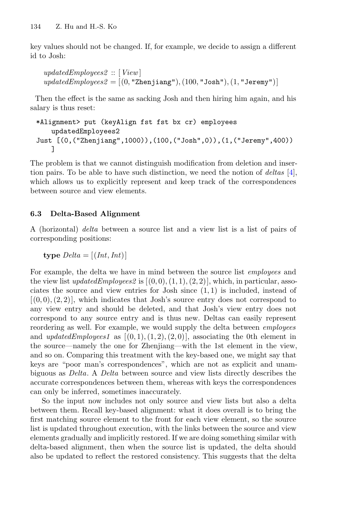key values should not be changed. If, for example, we decide to assign a different id to Josh:

```
updatedEmployees2 :: [View ]
updatedEmployes2 = [(0, "Zhenjiang"), (100, "Josh"), (1, "Jeremy"]
```
Then the effect is the same as sacking Josh and then hiring him again, and his salary is thus reset:

```
*Alignment> put (keyAlign fst fst bx cr) employees
   updatedEmployees2
Just [(0,("Zhenjiang",1000)),(100,("Josh",0)),(1,("Jeremy",400))
   ]
```
The problem is that we cannot distinguish modification from deletion and insertion pairs. To be able to have such distinction, we need the notion of *deltas* [\[4](#page-49-7)], which allows us to explicitly represent and keep track of the correspondences between source and view elements.

# **6.3 Delta-Based Alignment**

A (horizontal) *delta* between a source list and a view list is a list of pairs of corresponding positions:

**type**  $Delta = [(Int, Int)]$ 

For example, the delta we have in mind between the source list *employees* and the view list *updatedEmployees2* is  $[(0,0), (1,1), (2, 2)]$ , which, in particular, associates the source and view entries for Josh since  $(1, 1)$  is included, instead of  $[(0,0), (2, 2)]$ , which indicates that Josh's source entry does not correspond to any view entry and should be deleted, and that Josh's view entry does not correspond to any source entry and is thus new. Deltas can easily represent reordering as well. For example, we would supply the delta between *employees* and *updatedEmployees1* as  $[(0, 1), (1, 2), (2, 0)]$ , associating the 0th element in the source—namely the one for Zhenjiang—with the 1st element in the view, and so on. Comparing this treatment with the key-based one, we might say that keys are "poor man's correspondences", which are not as explicit and unambiguous as *Delta*. A *Delta* between source and view lists directly describes the accurate correspondences between them, whereas with keys the correspondences can only be inferred, sometimes inaccurately.

So the input now includes not only source and view lists but also a delta between them. Recall key-based alignment: what it does overall is to bring the first matching source element to the front for each view element, so the source list is updated throughout execution, with the links between the source and view elements gradually and implicitly restored. If we are doing something similar with delta-based alignment, then when the source list is updated, the delta should also be updated to reflect the restored consistency. This suggests that the delta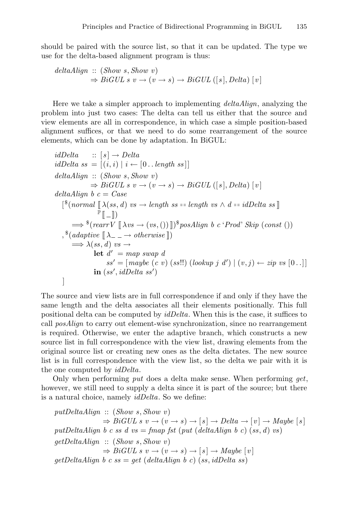should be paired with the source list, so that it can be updated. The type we use for the delta-based alignment program is thus:

$$
deltaalign::(Show s, Show v)\n\Rightarrow BiGUL s v \rightarrow (v \rightarrow s) \rightarrow BiGUL ([s], Delta) [v]
$$

Here we take a simpler approach to implementing *deltaAlign*, analyzing the problem into just two cases: The delta can tell us either that the source and view elements are all in correspondence, in which case a simple position-based alignment suffices, or that we need to do some rearrangement of the source elements, which can be done by adaptation. In BiGUL:

*idDelta* :: 
$$
[s] \rightarrow Delta
$$
  
\n*idDelta* is =  $[(i, i) | i \leftarrow [0..length ss]]$   
\n*delta* :: (*Show* s, *Show* v)  
\n $\Rightarrow BiGUL s v \rightarrow (v \rightarrow s) \rightarrow BiGUL ([s], Delta) [v]$   
\n*delta* is  $c = Case$   
\n $[\n\text{\$(normal  $[\lambda(s, d) vs \rightarrow length ss == length vs \land d == idDelta ss]]$   
\n $\mathbb{F}[\n\ ]$ .)  
\n $\Rightarrow \text{\$(rearrV  $[\lambda vs \rightarrow (vs, ())]\n)\text{\$}posAlign b c 'Prod' Skip (const ()\n)\n,\n\text{\$(adaptive  $[\lambda_-- \rightarrow otherwise]]\n\right)}$   
\n $\Rightarrow \lambda(ss, d) vs \rightarrow$   
\nlet  $d' = map swap d$   
\n $ss' = [maybe (c v) (ss!!) (lookup j d') | (v, j) \leftarrow zip vs [0..]]\n\]$   
\n $\text{in (ss', idDelta ss')}$$$$ 

The source and view lists are in full correspondence if and only if they have the same length and the delta associates all their elements positionally. This full positional delta can be computed by *idDelta*. When this is the case, it suffices to call *posAlign* to carry out element-wise synchronization, since no rearrangement is required. Otherwise, we enter the adaptive branch, which constructs a new source list in full correspondence with the view list, drawing elements from the original source list or creating new ones as the delta dictates. The new source list is in full correspondence with the view list, so the delta we pair with it is the one computed by *idDelta*.

Only when performing *put* does a delta make sense. When performing *get*, however, we still need to supply a delta since it is part of the source; but there is a natural choice, namely *idDelta*. So we define:

$$
putDelta A lign :: (Show \, s, Show \, v)
$$
  
\n
$$
\Rightarrow BiGUL \, s \, v \rightarrow (v \rightarrow s) \rightarrow [s] \rightarrow Delta \rightarrow [v] \rightarrow Maybe [s]
$$
  
\n
$$
putDelta A lign \, b \, c \, ss \, d \, vs = fmap \, fst \, (put \, (delta A lign \, b \, c) \, (ss, d) \, vs)
$$
  
\n
$$
getDelta A lign :: (Show \, s, Show \, v)
$$
  
\n
$$
\Rightarrow BiGUL \, s \, v \rightarrow (v \rightarrow s) \rightarrow [s] \rightarrow Maybe [v]
$$
  
\n
$$
getDelta A lign \, b \, c \, ss = get \, (delta A lign \, b \, c) \, (ss, idDelta \, ss)
$$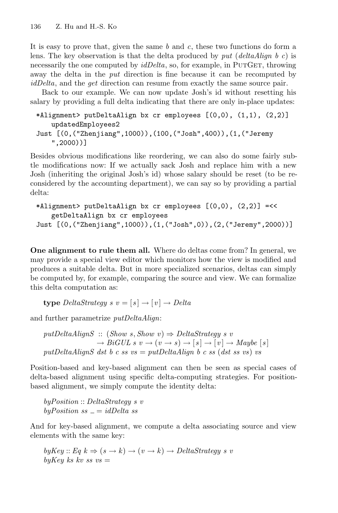It is easy to prove that, given the same *b* and *c*, these two functions do form a lens. The key observation is that the delta produced by *put* (*deltaAlign b c*) is necessarily the one computed by *idDelta*, so, for example, in PUTGET, throwing away the delta in the *put* direction is fine because it can be recomputed by *idDelta*, and the *get* direction can resume from exactly the same source pair.

Back to our example. We can now update Josh's id without resetting his salary by providing a full delta indicating that there are only in-place updates:

```
*Alignment> putDeltaAlign bx cr employees [(0,0), (1,1), (2,2)]updatedEmployees2
```

```
Just [(0,("Zhenjiang",1000)),(100,("Josh",400)),(1,("Jeremy
   ",2000))]
```
Besides obvious modifications like reordering, we can also do some fairly subtle modifications now: If we actually sack Josh and replace him with a new Josh (inheriting the original Josh's id) whose salary should be reset (to be reconsidered by the accounting department), we can say so by providing a partial delta:

```
*Alignment> putDeltaAlign bx cr employees [(0,0), (2,2)] =<<
   getDeltaAlign bx cr employees
Just [(0,("Zhenjiang",1000)),(1,("Josh",0)),(2,("Jeremy",2000))]
```
**One alignment to rule them all.** Where do deltas come from? In general, we may provide a special view editor which monitors how the view is modified and produces a suitable delta. But in more specialized scenarios, deltas can simply be computed by, for example, comparing the source and view. We can formalize this delta computation as:

**type**  $DeltaStrategy \ s \ v = [s] \rightarrow [v] \rightarrowDelta$ 

and further parametrize *putDeltaAlign*:

```
putDeltaAlignS :: (Show s, Show v) \Rightarrow DeltaStrategy s v
                     \rightarrow BiGUL s v \rightarrow (v \rightarrow s) \rightarrow [s] \rightarrow [v] \rightarrow Maybe [s]
putDeltaAlignS dst b c ss vs = putDeltaAlign b c ss (dst ss vs) vs
```
Position-based and key-based alignment can then be seen as special cases of delta-based alignment using specific delta-computing strategies. For positionbased alignment, we simply compute the identity delta:

*byPosition* :: *DeltaStrategy s v*  $byPosition$   $ss = idDelta$ *ss* 

And for key-based alignment, we compute a delta associating source and view elements with the same key:

 $byKey :: Eq \, k \Rightarrow (s \rightarrow k) \rightarrow (v \rightarrow k) \rightarrow DeltaStrategy \, s \, v$  $byKey$  ks kv ss  $vs =$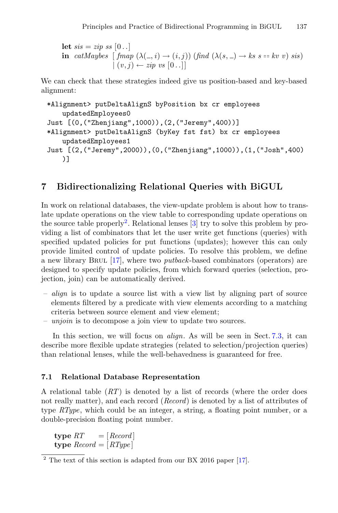**let**  $sis = zip$   $ss$   $[0..]$ **in** *catMaybes*  $\left[ \text{fmap}(\lambda(-,i) \rightarrow (i,j)) \right]$  (*find*  $(\lambda(s, \lambda)) \rightarrow (s, s)$  = *kv v*) *sis*)  $|(v, j) \leftarrow zip \ vs \ [0..]|$ 

We can check that these strategies indeed give us position-based and key-based alignment:

```
*Alignment> putDeltaAlignS byPosition bx cr employees
   updatedEmployees0
Just [(0,("Zhenjiang",1000)),(2,("Jeremy",400))]
*Alignment> putDeltaAlignS (byKey fst fst) bx cr employees
   updatedEmployees1
Just [(2,("Jeremy",2000)),(0,("Zhenjiang",1000)),(1,("Josh",400)
   )]
```
# <span id="page-37-0"></span>**7 Bidirectionalizing Relational Queries with BiGUL**

In work on relational databases, the view-update problem is about how to translate update operations on the view table to corresponding update operations on the source table properly<sup>[2](#page-37-1)</sup>. Relational lenses  $[3]$  try to solve this problem by providing a list of combinators that let the user write get functions (queries) with specified updated policies for put functions (updates); however this can only provide limited control of update policies. To resolve this problem, we define a new library Brul [\[17\]](#page-50-7), where two *putback*-based combinators (operators) are designed to specify update policies, from which forward queries (selection, projection, join) can be automatically derived.

- *align* is to update a source list with a view list by aligning part of source elements filtered by a predicate with view elements according to a matching criteria between source element and view element;
- *unjoin* is to decompose a join view to update two sources.

In this section, we will focus on *align*. As will be seen in Sect. [7.3,](#page-40-0) it can describe more flexible update strategies (related to selection/projection queries) than relational lenses, while the well-behavedness is guaranteed for free.

#### <span id="page-37-2"></span>**7.1 Relational Database Representation**

A relational table (*RT*) is denoted by a list of records (where the order does not really matter), and each record (*Record*) is denoted by a list of attributes of type *RType*, which could be an integer, a string, a floating point number, or a double-precision floating point number.

**type**  $RT = [Record]$ **type** *Record* = [*RType* ]

<span id="page-37-1"></span> $\frac{2}{17}$  The text of this section is adapted from our BX 2016 paper [\[17](#page-50-7)].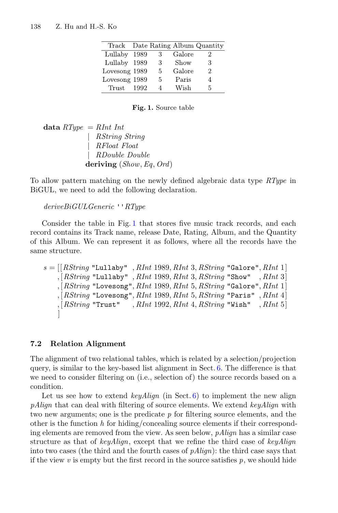|               |    |        | Track Date Rating Album Quantity |
|---------------|----|--------|----------------------------------|
| Lullaby 1989  | З  | Galore |                                  |
| Lullaby 1989  | З  | Show   | 3                                |
| Lovesong 1989 | 5. | Galore | 2                                |
| Lovesong 1989 | 5  | Paris  | 4                                |
| Trust 1992    | Δ  | Wish   | 5                                |

<span id="page-38-0"></span>**Fig. 1.** Source table

**data** *RType* = *RInt Int* | *RString String* | *RFloat Float* | *RDouble Double* **deriving** (*Show*,*Eq*, *Ord*)

To allow pattern matching on the newly defined algebraic data type *RType* in BiGUL, we need to add the following declaration.

*deriveBiGULGeneric* ''*RType*

Consider the table in Fig. [1](#page-38-0) that stores five music track records, and each record contains its Track name, release Date, Rating, Album, and the Quantity of this Album. We can represent it as follows, where all the records have the same structure.

```
s = \left[ \left[ RString \text{ "Lullaby" }, RInt \text{ 1989}, RInt \text{ 3}, RString \text{ "Galone", } RInt \text{ 1} \right] \right], [RString "Lullaby" , RInt 1989, RInt 3, RString "Show" , RInt 3]
    , [RString "Lovesong", RInt 1989, RInt 5, RString "Galore", RInt 1]
     , [RString "Lovesong", RInt 1989, RInt 5, RString "Paris" , RInt 4]
     , [RString "Trust" , RInt 1992, RInt 4, RString "Wish" , RInt 5]
     ]
```
# **7.2 Relation Alignment**

The alignment of two relational tables, which is related by a selection/projection query, is similar to the key-based list alignment in Sect. [6.](#page-29-0) The difference is that we need to consider filtering on (i.e., selection of) the source records based on a condition.

Let us see how to extend  $keyAliqn$  (in Sect. [6\)](#page-29-0) to implement the new align *pAlign* that can deal with filtering of source elements. We extend *keyAlign* with two new arguments; one is the predicate *p* for filtering source elements, and the other is the function *h* for hiding/concealing source elements if their corresponding elements are removed from the view. As seen below, *pAlign* has a similar case structure as that of *keyAlign*, except that we refine the third case of *keyAlign* into two cases (the third and the fourth cases of *pAlign*): the third case says that if the view  $v$  is empty but the first record in the source satisfies  $p$ , we should hide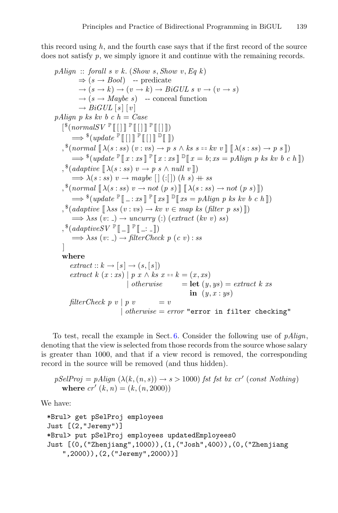this record using *h*, and the fourth case says that if the first record of the source does not satisfy *p*, we simply ignore it and continue with the remaining records.

*pAlign* :: *forall s v k*. (*Show s*, *Show v*,*Eq k*) ⇒ (*s* → *Bool*) -- predicate → (*s* → *k*) → (*v* → *k*) → *BiGUL s v* → (*v* → *s*) → (*s* → *Maybe s*) -- conceal function → *BiGUL* [*s* ] [*v* ] *pAlign p ks kv b c h* = *Case* [ \$(*normalSV* <sup>P</sup> [[ [ ] ]] <sup>P</sup> [[ [ ] ]] <sup>P</sup> [[ [ ] ]]) <sup>=</sup><sup>⇒</sup> \$(*update* <sup>P</sup> [[ [ ] ]] <sup>P</sup> [[ [ ] ]] <sup>D</sup>[[ ]]) , \$(*normal* [[ <sup>λ</sup>(*<sup>s</sup>* : *ss*) (*<sup>v</sup>* : *vs*) <sup>→</sup> *p s* <sup>∧</sup> *ks s* = = *kv v* ]] [[ <sup>λ</sup>(*<sup>s</sup>* : *ss*) <sup>→</sup> *p s* ]]) <sup>=</sup><sup>⇒</sup> \$(*update* <sup>P</sup> [[ *<sup>x</sup>* : *xs* ]] <sup>P</sup> [[ *<sup>x</sup>* : *xs* ]] <sup>D</sup>[[ *<sup>x</sup>* <sup>=</sup> *<sup>b</sup>*; *xs* <sup>=</sup> *pAlign p ks kv b c h* ]]) , \$(*adaptive* [[ <sup>λ</sup>(*<sup>s</sup>* : *ss*) *<sup>v</sup>* <sup>→</sup> *p s* <sup>∧</sup> *null v* ]]) =⇒ λ(*s* : *ss*) *v* → *maybe* [ ] (:[ ]) (*h s*) ++ *ss* , \$(*normal* [[ <sup>λ</sup>(*<sup>s</sup>* : *ss*) *<sup>v</sup>* <sup>→</sup> not (*p s*) ]] [[ <sup>λ</sup>(*<sup>s</sup>* : *ss*) <sup>→</sup> not (*p s*) ]]) <sup>=</sup><sup>⇒</sup> \$(*update* <sup>P</sup> [[ : *xs* ]] <sup>P</sup> [[ *xs* ]] <sup>D</sup>[[ *xs* <sup>=</sup> *pAlign p ks kv b c h* ]]) , \$(*adaptive* [[ <sup>λ</sup>*ss* (*<sup>v</sup>* : *vs*) <sup>→</sup> *kv v* <sup>∈</sup> *map ks* (*filter p ss*) ]]) =⇒ λ*ss* (*v*: ) → *uncurry* (:) (*extract* (*kv v*) *ss*) , \$(*adaptiveSV* <sup>P</sup> [[ ]] <sup>P</sup> [[ : ]]) =⇒ λ*ss* (*v*: ) → *filterCheck p* (*c v*) : *ss* ] **where** *extract* :: *k* → [*s* ] → (*s*, [*s* ]) *extract k* (*x* : *xs*) | *p x* ∧ *ks x* = = *k* = (*x* , *xs*) | *otherwise* = **let** (*y*, *ys*) = *extract k xs* **in** (*y*, *x* : *ys*) *filterCheck p v* | *p v* = *v* | *otherwise* = *error* "error in filter checking"

To test, recall the example in Sect. [6.](#page-29-0) Consider the following use of *pAlign*, denoting that the view is selected from those records from the source whose salary is greater than 1000, and that if a view record is removed, the corresponding record in the source will be removed (and thus hidden).

$$
pSelProj = pAlign\ (\lambda(k, (n, s)) \rightarrow s > 1000)
$$
 *fst fst bx cr' (const Nothing)* **where** *cr' (k, n)* = *(k, (n, 2000))*

We have:

```
*Brul> get pSelProj employees
Just [(2,"Jeremy")]
*Brul> put pSelProj employees updatedEmployees0
Just [(0,("Zhenjiang",1000)),(1,("Josh",400)),(0,("Zhenjiang
   ",2000)),(2,("Jeremy",2000))]
```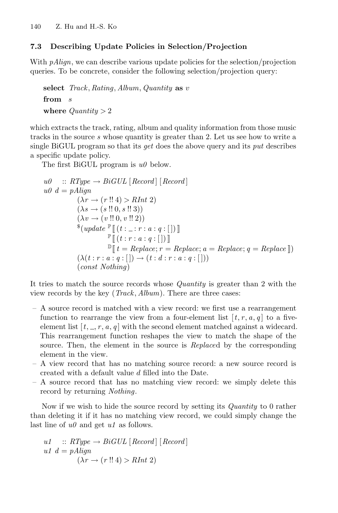# <span id="page-40-0"></span>**7.3 Describing Update Policies in Selection/Projection**

With *pAlign*, we can describe various update policies for the selection/projection queries. To be concrete, consider the following selection/projection query:

**select** *Track*, *Rating*, *Album*, *Quantity* **as** v **from** s **where**  $Quantity > 2$ 

which extracts the track, rating, album and quality information from those music tracks in the source *s* whose quantity is greater than 2. Let us see how to write a single BiGUL program so that its *get* does the above query and its *put* describes a specific update policy.

The first BiGUL program is *u0* below.

$$
u0 :: RType \rightarrow BiGUL [Record] [Record]
$$
  
\n
$$
u0 d = pAlign
$$
  
\n
$$
(\lambda r \rightarrow (r!! 4) > RInt 2)
$$
  
\n
$$
(\lambda s \rightarrow (s!! 0, s!! 3))
$$
  
\n
$$
(\lambda v \rightarrow (v!! 0, v!! 2))
$$
  
\n
$$
^{\$} (update \mathbb{F}[[t:-:r:a:q:[])]]
$$
  
\n
$$
\mathbb{F}[[t:r:a:q:[])]]
$$
  
\n
$$
\mathbb{F}[t = Replace; r = Replace; a = Replace; q = Replace[])
$$
  
\n
$$
(\lambda(t:r:a:q:[]) \rightarrow (t:d:r:a:q:[]))
$$
  
\n
$$
(const \ Nothing)
$$

It tries to match the source records whose *Quantity* is greater than 2 with the view records by the key (*Track*, *Album*). There are three cases:

- A source record is matched with a view record: we first use a rearrangement function to rearrange the view from a four-element list  $[t, r, a, q]$  to a fiveelement list  $[t, ..., r, a, q]$  with the second element matched against a widecard. This rearrangement function reshapes the view to match the shape of the source. Then, the element in the source is *Replace*d by the corresponding element in the view.
- A view record that has no matching source record: a new source record is created with a default value d filled into the Date.
- A source record that has no matching view record: we simply delete this record by returning *Nothing*.

Now if we wish to hide the source record by setting its *Quantity* to 0 rather than deleting it if it has no matching view record, we could simply change the last line of *u0* and get *u1* as follows.

$$
u1 :: RType \rightarrow BiGUL [Record] [Record]
$$
  

$$
u1 d = pAlign
$$
  

$$
(\lambda r \rightarrow (r!! 4) > RInt 2)
$$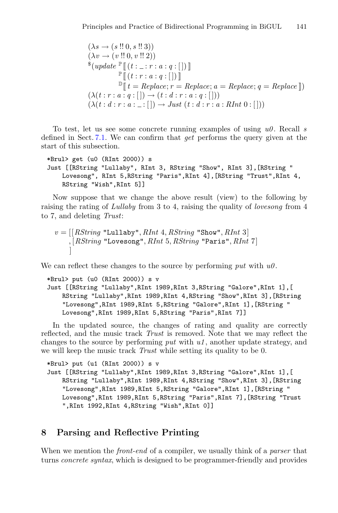$$
(\lambda s \rightarrow (s \, \text{!! } 0, s \, \text{!! } 3))
$$
  
\n
$$
(\lambda v \rightarrow (v \, \text{!! } 0, v \, \text{!! } 2))
$$
  
\n
$$
^{\$}(\text{update }^{\mathbb{P}} \left[ (t : -: r : a : q : [\,]) \right]
$$
  
\n
$$
^{\mathbb{P}} \left[ (t : r : a : q : [\,]) \right]
$$
  
\n
$$
^{\mathbb{D}} \left[ t = Replace; r = Replace; a = Replace; q = Replace \right]
$$
  
\n
$$
(\lambda(t : r : a : q : [\,]) \rightarrow (t : d : r : a : q : [\,]))
$$
  
\n
$$
(\lambda(t : d : r : a : -: [\,]) \rightarrow \text{Just } (t : d : r : a : RInt 0 : [\,]))
$$

To test, let us see some concrete running examples of using *u0* . Recall *s* defined in Sect. [7.1.](#page-37-2) We can confirm that *get* performs the query given at the start of this subsection.

```
*Brul> get (u0 (RInt 2000)) s
Just [[RString "Lullaby", RInt 3, RString "Show", RInt 3], [RString "
    Lovesong", RInt 5, RString "Paris", RInt 4], [RString "Trust", RInt 4,
    RString "Wish",RInt 5]]
    \mathcal{L} wish \mathcal{L}
```
Now suppose that we change the above result (view) to the following by raising the rating of *Lullaby* from 3 to 4, raising the quality of *lovesong* from 4 to 7, and deleting *Trust*:

```
v = \left[ \left( RString \text{ "Lullaby", } RInt \text{ 4}, RString \text{ "Show", } RInt \text{ 3} \right] \right], [RString "Lovesong", RInt 5, RString "Paris", RInt 7]
       ]
```
We can reflect these changes to the source by performing *put* with  $u\theta$ .

```
*Brul> put (u0 (RInt 2000)) s v
   RString "Lullaby", RInt 1989, RInt 4, RString "Show", RInt 3], [RString
   "Lovesong", RInt 1989, RInt 5, RString "Galore", RInt 1], [RString "
   Lovesong", RInt 1989, RInt 5, RString "Paris", RInt 7]]
   \mathcal{L}
```
In the updated source, the changes of rating and quality are correctly reflected, and the music track *Trust* is removed. Note that we may reflect the changes to the source by performing *put* with *u1* , another update strategy, and we will keep the music track *Trust* while setting its quality to be 0.

```
*Brul> put (u1 (RInt 2000)) s v
   RString "Lullaby", RInt 1989, RInt 4, RString "Show", RInt 3], [RString
   "Lovesong", RInt 1989, RInt 5, RString "Galore", RInt 1], [RString "
   Lovesong", RInt 1989, RInt 5, RString "Paris", RInt 7], [RString "Trust
   ",RInt 1992,RInt 4,RString "Wish",RInt 0]]
   \mathcal{L}
```
# <span id="page-41-0"></span>**8 Parsing and Reflective Printing**

When we mention the *front-end* of a compiler, we usually think of a *parser* that turns *concrete syntax*, which is designed to be programmer-friendly and provides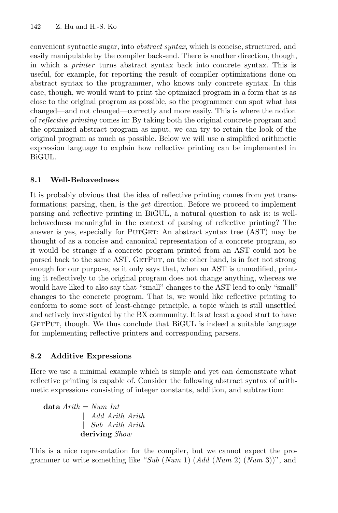convenient syntactic sugar, into *abstract syntax*, which is concise, structured, and easily manipulable by the compiler back-end. There is another direction, though, in which a *printer* turns abstract syntax back into concrete syntax. This is useful, for example, for reporting the result of compiler optimizations done on abstract syntax to the programmer, who knows only concrete syntax. In this case, though, we would want to print the optimized program in a form that is as close to the original program as possible, so the programmer can spot what has changed—and not changed—correctly and more easily. This is where the notion of *reflective printing* comes in: By taking both the original concrete program and the optimized abstract program as input, we can try to retain the look of the original program as much as possible. Below we will use a simplified arithmetic expression language to explain how reflective printing can be implemented in BiGUL.

# **8.1 Well-Behavedness**

It is probably obvious that the idea of reflective printing comes from *put* transformations; parsing, then, is the *get* direction. Before we proceed to implement parsing and reflective printing in BiGUL, a natural question to ask is: is wellbehavedness meaningful in the context of parsing of reflective printing? The answer is yes, especially for PUTGET: An abstract syntax tree (AST) may be thought of as a concise and canonical representation of a concrete program, so it would be strange if a concrete program printed from an AST could not be parsed back to the same AST. GETPUT, on the other hand, is in fact not strong enough for our purpose, as it only says that, when an AST is unmodified, printing it reflectively to the original program does not change anything, whereas we would have liked to also say that "small" changes to the AST lead to only "small" changes to the concrete program. That is, we would like reflective printing to conform to some sort of least-change principle, a topic which is still unsettled and actively investigated by the BX community. It is at least a good start to have GETPUT, though. We thus conclude that BiGUL is indeed a suitable language for implementing reflective printers and corresponding parsers.

# **8.2 Additive Expressions**

Here we use a minimal example which is simple and yet can demonstrate what reflective printing is capable of. Consider the following abstract syntax of arithmetic expressions consisting of integer constants, addition, and subtraction:

**data** *Arith* = *Num Int* | *Add Arith Arith* | *Sub Arith Arith* **deriving** *Show*

This is a nice representation for the compiler, but we cannot expect the programmer to write something like "*Sub* (*Num* 1) (*Add* (*Num* 2) (*Num* 3))", and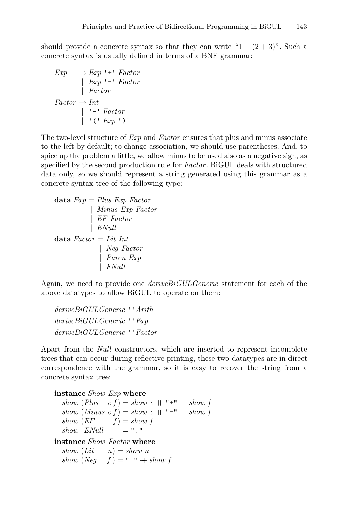should provide a concrete syntax so that they can write " $1 - (2 + 3)$ ". Such a concrete syntax is usually defined in terms of a BNF grammar:

$$
Exp \rightarrow Exp \rightarrow ' +' Factor
$$
\n
$$
\mid Exp \rightarrow ' -' Factor
$$
\n
$$
Factor \rightarrow Int
$$
\n
$$
\mid \rightarrow ' Factor
$$
\n
$$
\mid \cdot \mid ' -' Factor
$$
\n
$$
\mid \cdot \mid ' Exp \rightarrow )
$$

The two-level structure of *Exp* and *Factor* ensures that plus and minus associate to the left by default; to change association, we should use parentheses. And, to spice up the problem a little, we allow minus to be used also as a negative sign, as specified by the second production rule for *Factor* . BiGUL deals with structured data only, so we should represent a string generated using this grammar as a concrete syntax tree of the following type:

**data** *Exp* = *Plus Exp Factor* | *Minus Exp Factor* | *EF Factor* | *ENull* **data** *Factor* = *Lit Int* | *Neg Factor* | *Paren Exp* | *FNull*

Again, we need to provide one *deriveBiGULGeneric* statement for each of the above datatypes to allow BiGUL to operate on them:

*deriveBiGULGeneric* ''*Arith deriveBiGULGeneric* ''*Exp deriveBiGULGeneric* ''*Factor*

Apart from the *Null* constructors, which are inserted to represent incomplete trees that can occur during reflective printing, these two datatypes are in direct correspondence with the grammar, so it is easy to recover the string from a concrete syntax tree:

**instance** *Show Exp* **where**  $show$  ( $Plus$  e  $f$ ) =  $show$  e + "+" ++  $show$  f  $show (Minus e f) = show e + "-" + show f$  $show(EF \t f) = show f$  $show$   $ENull$  = "." **instance** *Show Factor* **where**

*show*  $(Lit \t n) =$  *show n*  $show(Neq \ f) =$ "-" +  $show f$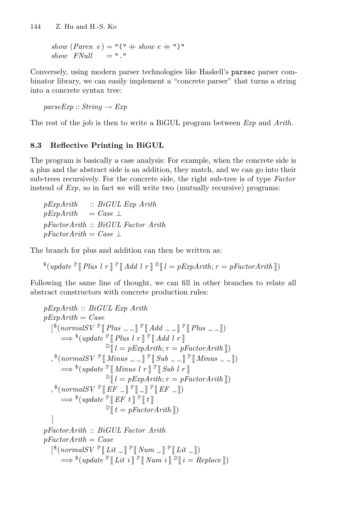*show*  $(Paren e) = "(" + show e +")"$  $show$   $FNull$  = "."

Conversely, using modern parser technologies like Haskell's parsec parser combinator library, we can easily implement a "concrete parser" that turns a string into a concrete syntax tree:

 $parseExp :: String \rightarrow Exp$ 

The rest of the job is then to write a BiGUL program between *Exp* and *Arith*.

### **8.3 Reflective Printing in BiGUL**

The program is basically a case analysis: For example, when the concrete side is a plus and the abstract side is an addition, they match, and we can go into their sub-trees recursively. For the concrete side, the right sub-tree is of type *Factor* instead of *Exp*, so in fact we will write two (mutually recursive) programs:

*pExpArith* :: *BiGUL Exp Arith*  $pExpArith = Case \perp$ *pFactorArith* :: *BiGUL Factor Arith pFactorArith* = *Case* ⊥

The branch for plus and addition can then be written as:

 $\{(update \mathbb{P} \mid \text{Plus } l \text{ } r \mid \mathbb{P} \mid \text{Add } l \text{ } r \mid \mathbb{D} \mid l = p \text{ExpArith}; r = p \text{FactorArith} \mid \text{)}\}$ 

Following the same line of thought, we can fill in other branches to relate all abstract constructors with concrete production rules:

```
pExpArith :: BiGUL Exp Arith
pExpArith = Case
      \left[ \begin{array}{c} \n\sqrt[8]{\text{normalS}} \text{V} \ \mathbb{P} \llbracket \text{Plus} \ \text{I} \ \text{I} \end{array} \right] \mathbb{P} \llbracket \text{Add} \ \text{I} \ \text{I} \parallel \mathbb{P} \llbracket \text{Plus} \ \text{I} \ \text{I} \rrbracket\implies <sup>$</sup>(update \mathbb{P} [[Plus l r]] \mathbb{P} [[Add l r]]
                                                   \mathbb{D}[\mathbf{I} = pExpArith; r = pFactorArith\,\mathbb{P}\left[\left\lceil \frac{m}{m} \right\rceil \left\lceil \frac{m}{m} \right\rceil - \left\lceil \frac{m}{m} \right\rceil \left\lceil \frac{m}{m} \right\rceil - \left\lceil \frac{m}{m} \right\rceil \left\lceil \frac{m}{m} \right\rceil - \left\lceil \frac{m}{m} \right\rceil\implies <sup>$</sup>(update \mathbb{P} [\![ Minus l r]\!] \mathbb{P} [\![ Sub l r]\!]\mathbb{D}[\![l = pExpA\text{rith}; r = pFactorA\text{rith}]\!]\mathbb{P} \left[ \left( \left\| \mathbf{F} \mathbf{F} \right\| \mathbf{F} \mathbf{F} \right] \right] \mathbb{P} \left[ \left\| \mathbf{F} \mathbf{F} \right\| \mathbf{F} \right]\Longrightarrow *(update \mathbb{P}[[EF t]] \mathbb{P}[[t]]\mathbb{D}[t = pFactorArith ])]
pFactorArith :: BiGUL Factor Arith
pFactorArith = Case
      \left[ \begin{array}{c} \n\sqrt[8]{\text{normal }} \text{S}V \end{array} \right] \left[ \begin{array}{c} \text{Lit} \end{array} \right] \left[ \begin{array}{c} \text{P} \end{array} \right] \left[ \text{Num } \right] \left[ \begin{array}{c} \text{P} \end{array} \right]\Rightarrow \mathcal{L}(update \mathbb{P}[[List i]] \mathbb{P}[[Num i]] \mathbb{D}[[i = Replace]])
```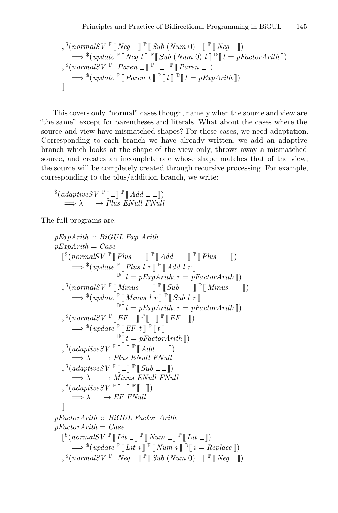$$
\begin{aligned}\n, \n\ ^{\$}(normalSV \ ^{\mathbb{P}} \llbracket Neg \ _{\bot} \rrbracket \ ^{\mathbb{P}} \llbracket Sub \ (Num \ 0) \ _{\bot} \rrbracket \ ^{\mathbb{P}} \llbracket Neg \ _{\bot} \rrbracket) \\
\implies \ ^{\$}(update \ ^{\mathbb{P}} \llbracket Neg \ _{\bot} \rrbracket \ ^{\mathbb{P}} \llbracket Sub \ (Num \ 0) \ _{\bot} \rrbracket \ ^{\mathbb{P}} \llbracket \ _{\bot} \ = \ pFactorArith \rrbracket) \\
, \ ^{\$}(normalSV \ ^{\mathbb{P}} \llbracket Paren \ _{\bot} \rrbracket \ ^{\mathbb{P}} \llbracket - \rrbracket \ ^{\mathbb{P}} \llbracket - \rrbracket \ ^{\mathbb{P}} \llbracket \ \text{Paren} \ _{\bot} \rrbracket) \\
\implies \ ^{\$}(update \ ^{\mathbb{P}} \llbracket \ \text{Paren} \ _{\bot} \rrbracket \ ^{\mathbb{P}} \llbracket \ _{\bot} \rrbracket \ ^{\mathbb{P}} \llbracket \ _{\bot} \ \text{P} \llbracket \ \text{PzpA} \ \text{with} \ \rrbracket)\n\end{aligned}
$$

This covers only "normal" cases though, namely when the source and view are "the same" except for parentheses and literals. What about the cases where the source and view have mismatched shapes? For these cases, we need adaptation. Corresponding to each branch we have already written, we add an adaptive branch which looks at the shape of the view only, throws away a mismatched source, and creates an incomplete one whose shape matches that of the view; the source will be completely created through recursive processing. For example, corresponding to the plus/addition branch, we write:

$$
\{adaptive SV \mathbb{P}[\![\;]\!] \mathbb{P}[\![\;Add \; \bot \;]\!])
$$
  

$$
\implies \lambda_- \longrightarrow Plus \;ENull \;FNull
$$

The full programs are:

$$
pExpArith :: BiGUL Exp Arith
$$
  
\n
$$
pExpArith = Case
$$
  
\n
$$
[^{8}(normalSV \mathbb{P}[[Plus \ -]] \mathbb{P}[[Add \ -]] \mathbb{P}[[Plus \ -]]
$$
  
\n
$$
\implies [update \mathbb{P}[[Plus \ I \ r]] \mathbb{P}[[Add \ I \ r]]
$$
  
\n
$$
"] \mathbb{P}[[add \ r]]
$$
  
\n
$$
[^{8}(normalSV \mathbb{P}[[Minus \ -]] \mathbb{P}[[Sub \ -]] \mathbb{P}[[Minus \ -]] )
$$
  
\n
$$
\implies [index \mathbb{P}[[Minus \ I \ r]] \mathbb{P}[[Sub \ I \ r]]
$$
  
\n
$$
"] \mathbb{P}[[add \mathbb{P}[[Exp \] \cdot \mathbb{P}[[Exp \ -]] \mathbb{P}[[Exp \ -]] )
$$
  
\n
$$
"] \mathbb{P}[[exp[Exp \cdot \mathbb{P}[[Exp \ -]] \mathbb{P}[[Exp \ -]] )
$$
  
\n
$$
"] \mathbb{P}[[exp[Exp \cdot \mathbb{P}[[Exp \ -]] \mathbb{P}[[Exp \ -]] )
$$
  
\n
$$
"] \mathbb{P}[[exp[Exp \cdot \mathbb{P}[[Exp \ -]] \mathbb{P}[[Exp \ -]] )
$$
  
\n
$$
"] \mathbb{P}[[exp[Exp \cdot \mathbb{P}[[Exp \ -]] \mathbb{P}[[Exp \ -]] )
$$
  
\n
$$
"] \mathbb{P}[-] \mathbb{P}[[Sub \ -]]
$$
  
\n
$$
"] \mathbb{P}[-] \mathbb{P}[[Exp \cdot \mathbb{P}[[Exp \ -]] ]
$$
  
\n
$$
"] \mathbb{P}[-] \mathbb{P}[[Exp \cdot \mathbb{P}[[Exp \ -]] ] ]
$$
  
\n
$$
[log[exp[Exp \cdot \mathbb{P}[[Exp \ -]] \mathbb{P}[[Exp \ -]] ] ]
$$
  
\n
$$
[log[exp[Exp \cdot \mathbb{P}[[Exp \ -]] \mathbb{P}[[Exp \ -]] ] ]
$$
  
\n
$$
[log[exp[Exp \cdot \mathbb{P}[[Exp \ -]] ] \mathbb{P}[[Exp \ -]] ]
$$
  
\n
$$
[log[exp[
$$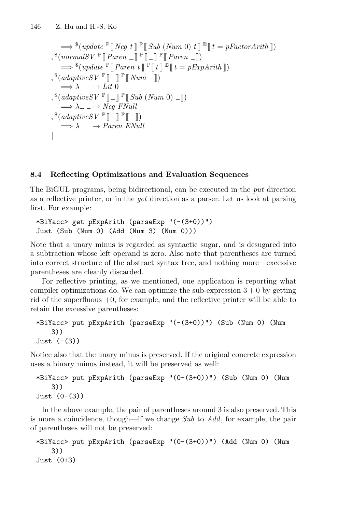$$
\Rightarrow^{\$}(\text{update} \mathbb{P} [\text{Neg } t] \mathbb{P} [\text{Sub } (\text{Num } 0) t] \mathbb{P} [t = \text{pFactorArith}])
$$
\n
$$
,\n^{\$}(\text{normalSV} \mathbb{P} [\text{Paren } -] \mathbb{P} [\text{L} \mathbb{P} [\text{Paren } -])
$$
\n
$$
\Rightarrow^{\$}(\text{update} \mathbb{P} [\text{Paren } t] \mathbb{P} [\text{L} \mathbb{P} [\text{L} \text{D} \text{D}])
$$
\n
$$
,\n^{\$}(\text{adaptiveSV} \mathbb{P} [\text{L} \mathbb{P} [\text{Num } -])
$$
\n
$$
\Rightarrow \lambda_{-} \rightarrow \text{Lit } 0
$$
\n
$$
,\n^{\$}(\text{adaptiveSV} \mathbb{P} [\text{L} \mathbb{P} [\text{Sub } (\text{Num } 0) -])
$$
\n
$$
\Rightarrow \lambda_{-} \rightarrow \text{Neg } \text{FNull}
$$
\n
$$
,\n^{\$}(\text{adaptiveSV} \mathbb{P} [\text{L} \mathbb{P} [\text{L}])
$$
\n
$$
\Rightarrow \lambda_{-} \rightarrow \text{Year } \text{ENull}
$$
\n
$$
]
$$

# **8.4 Reflecting Optimizations and Evaluation Sequences**

The BiGUL programs, being bidirectional, can be executed in the *put* direction as a reflective printer, or in the *get* direction as a parser. Let us look at parsing first. For example:

\*BiYacc> get pExpArith (parseExp "(-(3+0))") Just (Sub (Num 0) (Add (Num 3) (Num 0)))

Note that a unary minus is regarded as syntactic sugar, and is desugared into a subtraction whose left operand is zero. Also note that parentheses are turned into correct structure of the abstract syntax tree, and nothing more—excessive parentheses are cleanly discarded.

For reflective printing, as we mentioned, one application is reporting what compiler optimizations do. We can optimize the sub-expression  $3+0$  by getting rid of the superfluous  $+0$ , for example, and the reflective printer will be able to retain the excessive parentheses:

```
*BiYacc> put pExpArith (parseExp "(-(3+0))") (Sub (Num 0) (Num
   3))
Just (- (3))
```
Notice also that the unary minus is preserved. If the original concrete expression uses a binary minus instead, it will be preserved as well:

```
*BiYacc> put pExpArith (parseExp "(0-(3+0))") (Sub (Num 0) (Num
   3))
Just (0-(3))
```
In the above example, the pair of parentheses around 3 is also preserved. This is more a coincidence, though—if we change *Sub* to *Add*, for example, the pair of parentheses will not be preserved:

```
*BiYacc> put pExpArith (parseExp "(0-(3+0))") (Add (Num 0) (Num
   3))
Just (0+3)
```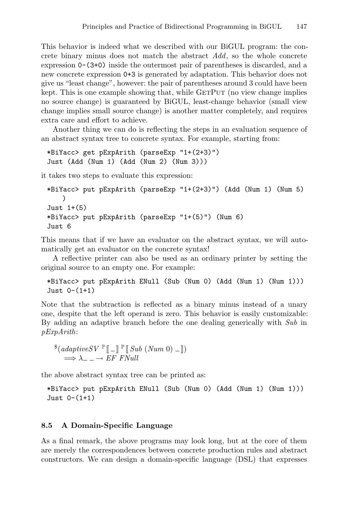This behavior is indeed what we described with our BiGUL program: the concrete binary minus does not match the abstract *Add*, so the whole concrete expression 0-(3+0) inside the outermost pair of parentheses is discarded, and a new concrete expression 0+3 is generated by adaptation. This behavior does not give us "least change", however: the pair of parentheses around 3 could have been kept. This is one example showing that, while GETPUT (no view change implies no source change) is guaranteed by BiGUL, least-change behavior (small view change implies small source change) is another matter completely, and requires extra care and effort to achieve.

Another thing we can do is reflecting the steps in an evaluation sequence of an abstract syntax tree to concrete syntax. For example, starting from:

```
*BiYacc> get pExpArith (parseExp "1+(2+3)")
Just (Add (Num 1) (Add (Num 2) (Num 3)))
```
it takes two steps to evaluate this expression:

```
*BiYacc> put pExpArith (parseExp "1+(2+3)") (Add (Num 1) (Num 5)
   \lambdaJust 1+(5)
*BiYacc> put pExpArith (parseExp "1+(5)") (Num 6)
Just 6
```
This means that if we have an evaluator on the abstract syntax, we will automatically get an evaluator on the concrete syntax!

A reflective printer can also be used as an ordinary printer by setting the original source to an empty one. For example:

```
*BiYacc> put pExpArith ENull (Sub (Num 0) (Add (Num 1) (Num 1)))
Just 0-(1+1)
```
Note that the subtraction is reflected as a binary minus instead of a unary one, despite that the left operand is zero. This behavior is easily customizable: By adding an adaptive branch before the one dealing generically with *Sub* in *pExpArith*:

$$
*(adaptiveSV \mathbb{P}[\mathbb{I}]\mathbb{P}[Sub (Num 0) \_])
$$
  

$$
\Longrightarrow \lambda_{--} \rightarrow EF \text{ FNull}
$$

the above abstract syntax tree can be printed as:

\*BiYacc> put pExpArith ENull (Sub (Num 0) (Add (Num 1) (Num 1))) Just  $0-(1+1)$ 

#### **8.5 A Domain-Specific Language**

As a final remark, the above programs may look long, but at the core of them are merely the correspondences between concrete production rules and abstract constructors. We can design a domain-specific language (DSL) that expresses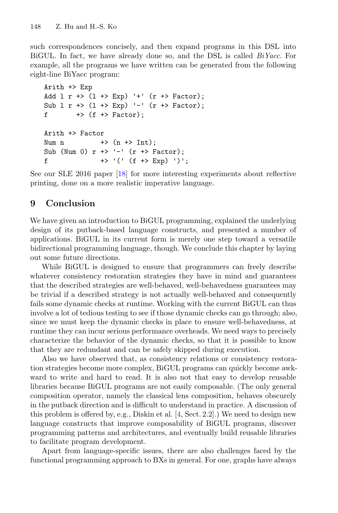such correspondences concisely, and then expand programs in this DSL into BiGUL. In fact, we have already done so, and the DSL is called *BiYacc*. For example, all the programs we have written can be generated from the following eight-line BiYacc program:

```
Arith +> Exp
Add 1 r +> (1 + \sum Exp) '+' (r + \sum Factor);
Sub 1 r \leftrightarrow (1 \leftrightarrow Exp) '-' (r \leftrightarrow Factor);
f \rightarrow (f +> Factor);
Arith +> Factor
Num n \rightarrow (n +> Int);
Sub (Num 0) r \leftrightarrow '-' (r \leftrightarrow Factor);
f +> '(' (f +> Exp) ')';
```
See our SLE 2016 paper [\[18](#page-50-8)] for more interesting experiments about reflective printing, done on a more realistic imperative language.

# **9 Conclusion**

We have given an introduction to BiGUL programming, explained the underlying design of its putback-based language constructs, and presented a number of applications. BiGUL in its current form is merely one step toward a versatile bidirectional programming language, though. We conclude this chapter by laying out some future directions.

While BiGUL is designed to ensure that programmers can freely describe whatever consistency restoration strategies they have in mind and guarantees that the described strategies are well-behaved, well-behavedness guarantees may be trivial if a described strategy is not actually well-behaved and consequently fails some dynamic checks at runtime. Working with the current BiGUL can thus involve a lot of tedious testing to see if those dynamic checks can go through; also, since we must keep the dynamic checks in place to ensure well-behavedness, at runtime they can incur serious performance overheads. We need ways to precisely characterize the behavior of the dynamic checks, so that it is possible to know that they are redundant and can be safely skipped during execution.

Also we have observed that, as consistency relations or consistency restoration strategies become more complex, BiGUL programs can quickly become awkward to write and hard to read. It is also not that easy to develop reusable libraries because BiGUL programs are not easily composable. (The only general composition operator, namely the classical lens composition, behaves obscurely in the putback direction and is difficult to understand in practice. A discussion of this problem is offered by, e.g., Diskin et al. [\[4](#page-49-7), Sect. 2.2].) We need to design new language constructs that improve composability of BiGUL programs, discover programming patterns and architectures, and eventually build reusable libraries to facilitate program development.

Apart from language-specific issues, there are also challenges faced by the functional programming approach to BXs in general. For one, graphs have always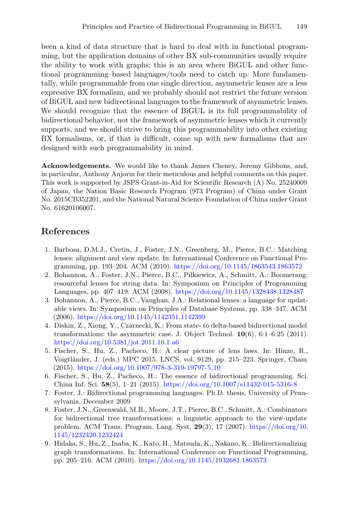been a kind of data structure that is hard to deal with in functional programming, but the application domains of other BX sub-communities usually require the ability to work with graphs; this is an area where BiGUL and other functional programming–based languages/tools need to catch up. More fundamentally, while programmable from one single direction, asymmetric lenses are a less expressive BX formalism, and we probably should not restrict the future version of BiGUL and new bidirectional languages to the framework of asymmetric lenses. We should recognize that the essence of BiGUL is its full programmability of bidirectional behavior, not the framework of asymmetric lenses which it currently supports, and we should strive to bring this programmability into other existing BX formalisms, or, if that is difficult, come up with new formalisms that are designed with such programmability in mind.

**Acknowledgements.** We would like to thank James Cheney, Jeremy Gibbons, and, in particular, Anthony Anjorin for their meticulous and helpful comments on this paper. This work is supported by JSPS Grant-in-Aid for Scientific Research (A) No. 25240009 of Japan, the Nation Basic Research Program (973 Program) of China under Grant No. 2015CB352201, and the National Natural Science Foundation of China under Grant No. 61620106007.

# **References**

- <span id="page-49-6"></span>1. Barbosa, D.M.J., Cretin, J., Foster, J.N., Greenberg, M., Pierce, B.C.: Matching lenses: alignment and view update. In: International Conference on Functional Programming, pp. 193–204. ACM (2010). <https://doi.org/10.1145/1863543.1863572>
- <span id="page-49-1"></span>2. Bohannon, A., Foster, J.N., Pierce, B.C., Pilkiewicz, A., Schmitt, A.: Boomerang: resourceful lenses for string data. In: Symposium on Principles of Programming Languages, pp. 407–419. ACM (2008). <https://doi.org/10.1145/1328438.1328487>
- <span id="page-49-2"></span>3. Bohannon, A., Pierce, B.C., Vaughan, J.A.: Relational lenses: a language for updatable views. In: Symposium on Principles of Database Systems, pp. 338–347. ACM (2006). <https://doi.org/10.1145/1142351.1142399>
- <span id="page-49-7"></span>4. Diskin, Z., Xiong, Y., Czarnecki, K.: From state- to delta-based bidirectional model transformations: the asymmetric case. J. Object Technol. **10**(6), 6:1–6:25 (2011). <https://doi.org/10.5381/jot.2011.10.1.a6>
- <span id="page-49-4"></span>5. Fischer, S., Hu, Z., Pacheco, H.: A clear picture of lens laws. In: Hinze, R., Voigtländer, J. (eds.) MPC 2015. LNCS, vol. 9129, pp. 215–223. Springer, Cham (2015). [https://doi.org/10.1007/978-3-319-19797-5](https://doi.org/10.1007/978-3-319-19797-5_10) 10
- 6. Fischer, S., Hu, Z., Pacheco, H.: The essence of bidirectional programming. Sci. China Inf. Sci. **58**(5), 1–21 (2015). <https://doi.org/10.1007/s11432-015-5316-8>
- <span id="page-49-5"></span>7. Foster, J.: Bidirectional programming languages. Ph.D. thesis, University of Pennsylvania, December 2009
- <span id="page-49-0"></span>8. Foster, J.N., Greenwald, M.B., Moore, J.T., Pierce, B.C., Schmitt, A.: Combinators for bidirectional tree transformations: a linguistic approach to the view-update problem. ACM Trans. Program. Lang. Syst. **29**(3), 17 (2007). [https://doi.org/10.](https://doi.org/10.1145/1232420.1232424) [1145/1232420.1232424](https://doi.org/10.1145/1232420.1232424)
- <span id="page-49-3"></span>9. Hidaka, S., Hu, Z., Inaba, K., Kato, H., Matsuda, K., Nakano, K.: Bidirectionalizing graph transformations. In: International Conference on Functional Programming, pp. 205–216. ACM (2010). <https://doi.org/10.1145/1932681.1863573>